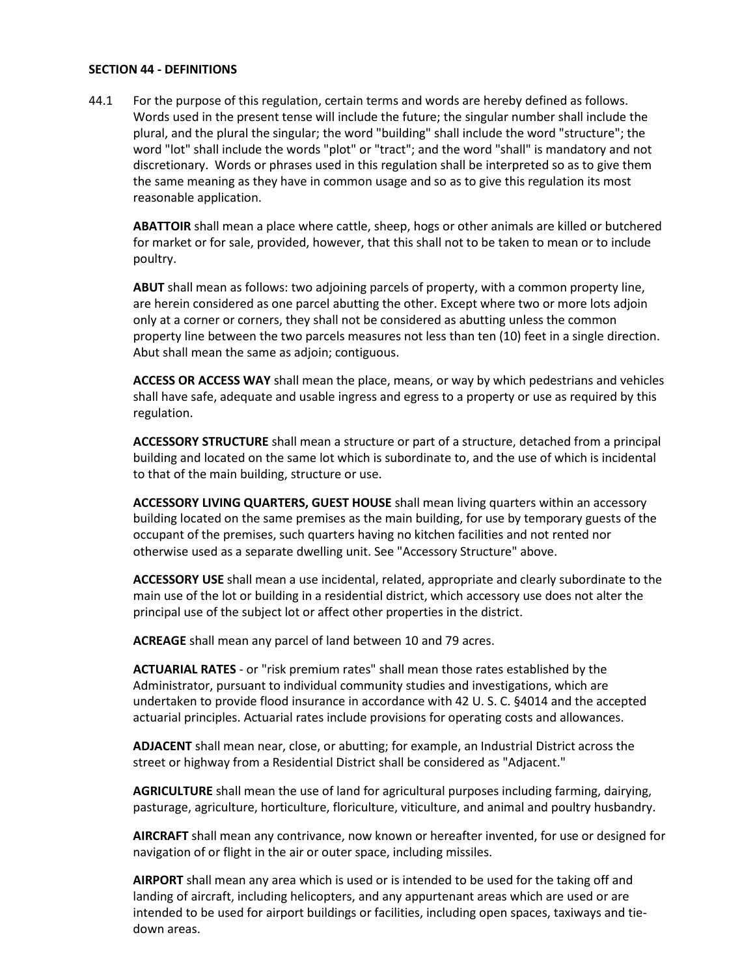## **SECTION 44 - DEFINITIONS**

44.1 For the purpose of this regulation, certain terms and words are hereby defined as follows. Words used in the present tense will include the future; the singular number shall include the plural, and the plural the singular; the word "building" shall include the word "structure"; the word "lot" shall include the words "plot" or "tract"; and the word "shall" is mandatory and not discretionary. Words or phrases used in this regulation shall be interpreted so as to give them the same meaning as they have in common usage and so as to give this regulation its most reasonable application.

**ABATTOIR** shall mean a place where cattle, sheep, hogs or other animals are killed or butchered for market or for sale, provided, however, that this shall not to be taken to mean or to include poultry.

**ABUT** shall mean as follows: two adjoining parcels of property, with a common property line, are herein considered as one parcel abutting the other. Except where two or more lots adjoin only at a corner or corners, they shall not be considered as abutting unless the common property line between the two parcels measures not less than ten (10) feet in a single direction. Abut shall mean the same as adjoin; contiguous.

**ACCESS OR ACCESS WAY** shall mean the place, means, or way by which pedestrians and vehicles shall have safe, adequate and usable ingress and egress to a property or use as required by this regulation.

**ACCESSORY STRUCTURE** shall mean a structure or part of a structure, detached from a principal building and located on the same lot which is subordinate to, and the use of which is incidental to that of the main building, structure or use.

**ACCESSORY LIVING QUARTERS, GUEST HOUSE** shall mean living quarters within an accessory building located on the same premises as the main building, for use by temporary guests of the occupant of the premises, such quarters having no kitchen facilities and not rented nor otherwise used as a separate dwelling unit. See "Accessory Structure" above.

**ACCESSORY USE** shall mean a use incidental, related, appropriate and clearly subordinate to the main use of the lot or building in a residential district, which accessory use does not alter the principal use of the subject lot or affect other properties in the district.

**ACREAGE** shall mean any parcel of land between 10 and 79 acres.

**ACTUARIAL RATES** - or "risk premium rates" shall mean those rates established by the Administrator, pursuant to individual community studies and investigations, which are undertaken to provide flood insurance in accordance with 42 U. S. C. §4014 and the accepted actuarial principles. Actuarial rates include provisions for operating costs and allowances.

**ADJACENT** shall mean near, close, or abutting; for example, an Industrial District across the street or highway from a Residential District shall be considered as "Adjacent."

**AGRICULTURE** shall mean the use of land for agricultural purposes including farming, dairying, pasturage, agriculture, horticulture, floriculture, viticulture, and animal and poultry husbandry.

**AIRCRAFT** shall mean any contrivance, now known or hereafter invented, for use or designed for navigation of or flight in the air or outer space, including missiles.

**AIRPORT** shall mean any area which is used or is intended to be used for the taking off and landing of aircraft, including helicopters, and any appurtenant areas which are used or are intended to be used for airport buildings or facilities, including open spaces, taxiways and tiedown areas.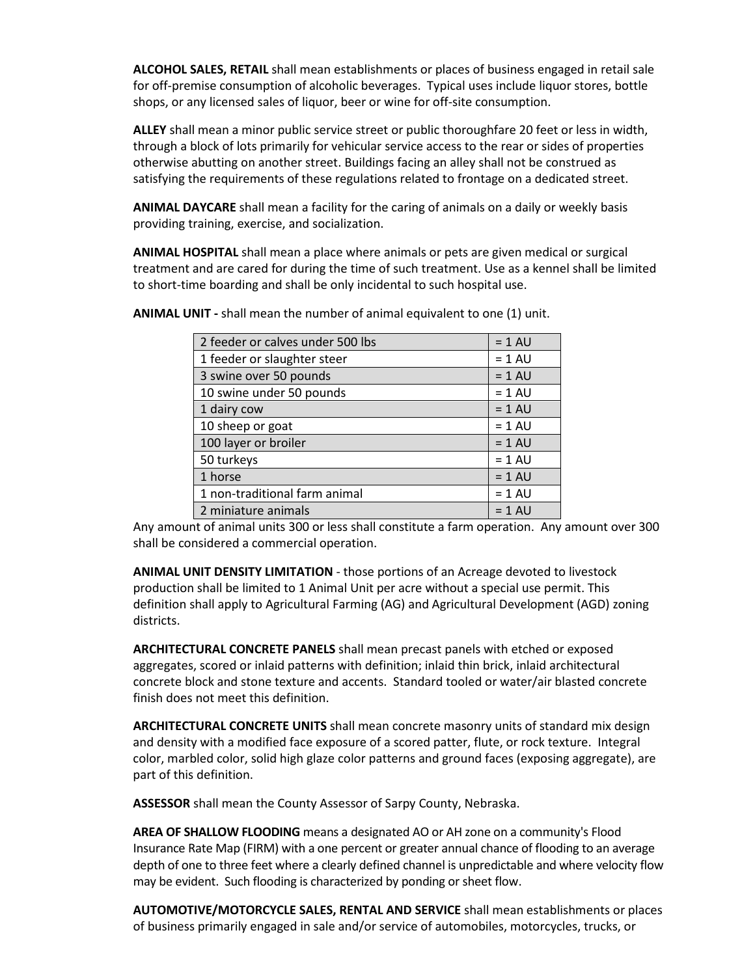**ALCOHOL SALES, RETAIL** shall mean establishments or places of business engaged in retail sale for off-premise consumption of alcoholic beverages. Typical uses include liquor stores, bottle shops, or any licensed sales of liquor, beer or wine for off-site consumption.

**ALLEY** shall mean a minor public service street or public thoroughfare 20 feet or less in width, through a block of lots primarily for vehicular service access to the rear or sides of properties otherwise abutting on another street. Buildings facing an alley shall not be construed as satisfying the requirements of these regulations related to frontage on a dedicated street.

**ANIMAL DAYCARE** shall mean a facility for the caring of animals on a daily or weekly basis providing training, exercise, and socialization.

**ANIMAL HOSPITAL** shall mean a place where animals or pets are given medical or surgical treatment and are cared for during the time of such treatment. Use as a kennel shall be limited to short-time boarding and shall be only incidental to such hospital use.

| 2 feeder or calves under 500 lbs | $= 1 AU$ |
|----------------------------------|----------|
| 1 feeder or slaughter steer      | $= 1 AU$ |
| 3 swine over 50 pounds           | $= 1 AU$ |
| 10 swine under 50 pounds         | $= 1 AU$ |
| 1 dairy cow                      | $= 1 AU$ |
| 10 sheep or goat                 | $= 1 AU$ |
| 100 layer or broiler             | $= 1$ AU |
| 50 turkeys                       | $= 1 AU$ |
| 1 horse                          | $= 1 AU$ |
| 1 non-traditional farm animal    | $= 1 AU$ |
| 2 miniature animals              | $= 1$ AU |

**ANIMAL UNIT -** shall mean the number of animal equivalent to one (1) unit.

Any amount of animal units 300 or less shall constitute a farm operation. Any amount over 300 shall be considered a commercial operation.

**ANIMAL UNIT DENSITY LIMITATION** - those portions of an Acreage devoted to livestock production shall be limited to 1 Animal Unit per acre without a special use permit. This definition shall apply to Agricultural Farming (AG) and Agricultural Development (AGD) zoning districts.

**ARCHITECTURAL CONCRETE PANELS** shall mean precast panels with etched or exposed aggregates, scored or inlaid patterns with definition; inlaid thin brick, inlaid architectural concrete block and stone texture and accents. Standard tooled or water/air blasted concrete finish does not meet this definition.

**ARCHITECTURAL CONCRETE UNITS** shall mean concrete masonry units of standard mix design and density with a modified face exposure of a scored patter, flute, or rock texture. Integral color, marbled color, solid high glaze color patterns and ground faces (exposing aggregate), are part of this definition.

**ASSESSOR** shall mean the County Assessor of Sarpy County, Nebraska.

**AREA OF SHALLOW FLOODING** means a designated AO or AH zone on a community's Flood Insurance Rate Map (FIRM) with a one percent or greater annual chance of flooding to an average depth of one to three feet where a clearly defined channel is unpredictable and where velocity flow may be evident. Such flooding is characterized by ponding or sheet flow.

**AUTOMOTIVE/MOTORCYCLE SALES, RENTAL AND SERVICE** shall mean establishments or places of business primarily engaged in sale and/or service of automobiles, motorcycles, trucks, or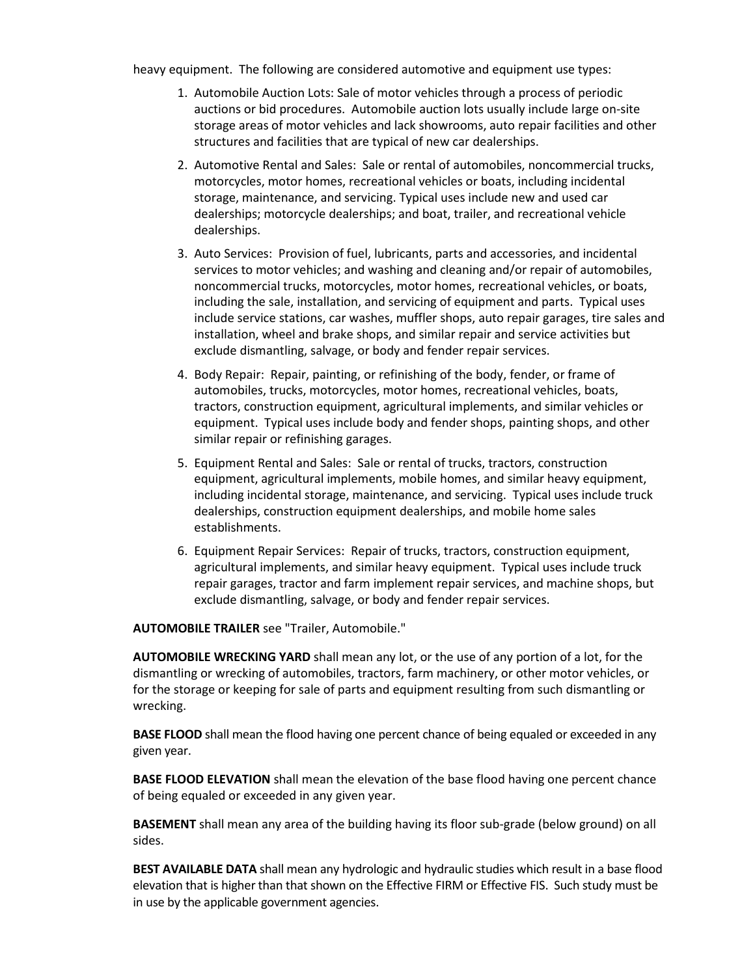heavy equipment. The following are considered automotive and equipment use types:

- 1. Automobile Auction Lots: Sale of motor vehicles through a process of periodic auctions or bid procedures. Automobile auction lots usually include large on-site storage areas of motor vehicles and lack showrooms, auto repair facilities and other structures and facilities that are typical of new car dealerships.
- 2. Automotive Rental and Sales: Sale or rental of automobiles, noncommercial trucks, motorcycles, motor homes, recreational vehicles or boats, including incidental storage, maintenance, and servicing. Typical uses include new and used car dealerships; motorcycle dealerships; and boat, trailer, and recreational vehicle dealerships.
- 3. Auto Services: Provision of fuel, lubricants, parts and accessories, and incidental services to motor vehicles; and washing and cleaning and/or repair of automobiles, noncommercial trucks, motorcycles, motor homes, recreational vehicles, or boats, including the sale, installation, and servicing of equipment and parts. Typical uses include service stations, car washes, muffler shops, auto repair garages, tire sales and installation, wheel and brake shops, and similar repair and service activities but exclude dismantling, salvage, or body and fender repair services.
- 4. Body Repair: Repair, painting, or refinishing of the body, fender, or frame of automobiles, trucks, motorcycles, motor homes, recreational vehicles, boats, tractors, construction equipment, agricultural implements, and similar vehicles or equipment. Typical uses include body and fender shops, painting shops, and other similar repair or refinishing garages.
- 5. Equipment Rental and Sales: Sale or rental of trucks, tractors, construction equipment, agricultural implements, mobile homes, and similar heavy equipment, including incidental storage, maintenance, and servicing. Typical uses include truck dealerships, construction equipment dealerships, and mobile home sales establishments.
- 6. Equipment Repair Services: Repair of trucks, tractors, construction equipment, agricultural implements, and similar heavy equipment. Typical uses include truck repair garages, tractor and farm implement repair services, and machine shops, but exclude dismantling, salvage, or body and fender repair services.

**AUTOMOBILE TRAILER** see "Trailer, Automobile."

**AUTOMOBILE WRECKING YARD** shall mean any lot, or the use of any portion of a lot, for the dismantling or wrecking of automobiles, tractors, farm machinery, or other motor vehicles, or for the storage or keeping for sale of parts and equipment resulting from such dismantling or wrecking.

**BASE FLOOD** shall mean the flood having one percent chance of being equaled or exceeded in any given year.

**BASE FLOOD ELEVATION** shall mean the elevation of the base flood having one percent chance of being equaled or exceeded in any given year.

**BASEMENT** shall mean any area of the building having its floor sub-grade (below ground) on all sides.

**BEST AVAILABLE DATA** shall mean any hydrologic and hydraulic studies which result in a base flood elevation that is higher than that shown on the Effective FIRM or Effective FIS. Such study must be in use by the applicable government agencies.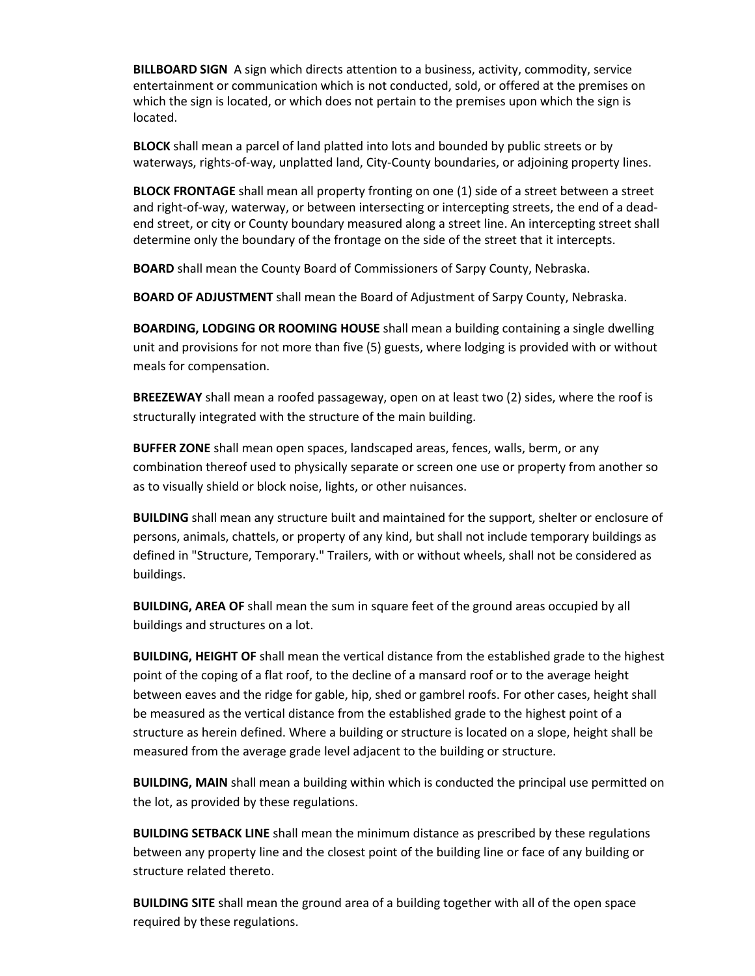**BILLBOARD SIGN** A sign which directs attention to a business, activity, commodity, service entertainment or communication which is not conducted, sold, or offered at the premises on which the sign is located, or which does not pertain to the premises upon which the sign is located.

**BLOCK** shall mean a parcel of land platted into lots and bounded by public streets or by waterways, rights-of-way, unplatted land, City-County boundaries, or adjoining property lines.

**BLOCK FRONTAGE** shall mean all property fronting on one (1) side of a street between a street and right-of-way, waterway, or between intersecting or intercepting streets, the end of a deadend street, or city or County boundary measured along a street line. An intercepting street shall determine only the boundary of the frontage on the side of the street that it intercepts.

**BOARD** shall mean the County Board of Commissioners of Sarpy County, Nebraska.

**BOARD OF ADJUSTMENT** shall mean the Board of Adjustment of Sarpy County, Nebraska.

**BOARDING, LODGING OR ROOMING HOUSE** shall mean a building containing a single dwelling unit and provisions for not more than five (5) guests, where lodging is provided with or without meals for compensation.

**BREEZEWAY** shall mean a roofed passageway, open on at least two (2) sides, where the roof is structurally integrated with the structure of the main building.

**BUFFER ZONE** shall mean open spaces, landscaped areas, fences, walls, berm, or any combination thereof used to physically separate or screen one use or property from another so as to visually shield or block noise, lights, or other nuisances.

**BUILDING** shall mean any structure built and maintained for the support, shelter or enclosure of persons, animals, chattels, or property of any kind, but shall not include temporary buildings as defined in "Structure, Temporary." Trailers, with or without wheels, shall not be considered as buildings.

**BUILDING, AREA OF** shall mean the sum in square feet of the ground areas occupied by all buildings and structures on a lot.

**BUILDING, HEIGHT OF** shall mean the vertical distance from the established grade to the highest point of the coping of a flat roof, to the decline of a mansard roof or to the average height between eaves and the ridge for gable, hip, shed or gambrel roofs. For other cases, height shall be measured as the vertical distance from the established grade to the highest point of a structure as herein defined. Where a building or structure is located on a slope, height shall be measured from the average grade level adjacent to the building or structure.

**BUILDING, MAIN** shall mean a building within which is conducted the principal use permitted on the lot, as provided by these regulations.

**BUILDING SETBACK LINE** shall mean the minimum distance as prescribed by these regulations between any property line and the closest point of the building line or face of any building or structure related thereto.

**BUILDING SITE** shall mean the ground area of a building together with all of the open space required by these regulations.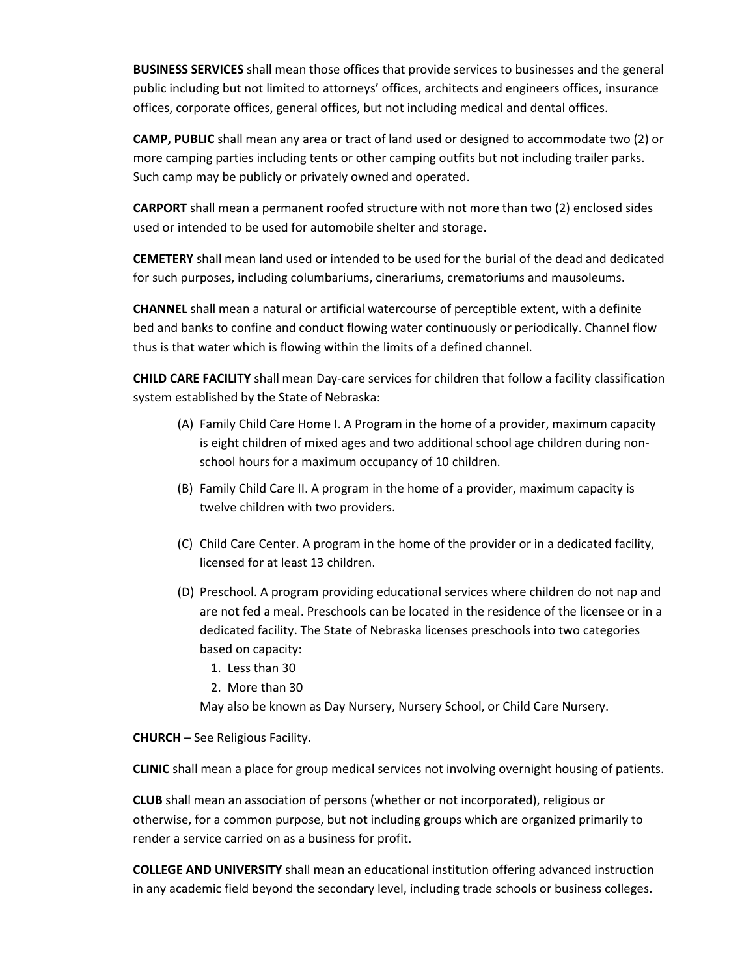**BUSINESS SERVICES** shall mean those offices that provide services to businesses and the general public including but not limited to attorneys' offices, architects and engineers offices, insurance offices, corporate offices, general offices, but not including medical and dental offices.

**CAMP, PUBLIC** shall mean any area or tract of land used or designed to accommodate two (2) or more camping parties including tents or other camping outfits but not including trailer parks. Such camp may be publicly or privately owned and operated.

**CARPORT** shall mean a permanent roofed structure with not more than two (2) enclosed sides used or intended to be used for automobile shelter and storage.

**CEMETERY** shall mean land used or intended to be used for the burial of the dead and dedicated for such purposes, including columbariums, cinerariums, crematoriums and mausoleums.

**CHANNEL** shall mean a natural or artificial watercourse of perceptible extent, with a definite bed and banks to confine and conduct flowing water continuously or periodically. Channel flow thus is that water which is flowing within the limits of a defined channel.

**CHILD CARE FACILITY** shall mean Day-care services for children that follow a facility classification system established by the State of Nebraska:

- (A) Family Child Care Home I. A Program in the home of a provider, maximum capacity is eight children of mixed ages and two additional school age children during nonschool hours for a maximum occupancy of 10 children.
- (B) Family Child Care II. A program in the home of a provider, maximum capacity is twelve children with two providers.
- (C) Child Care Center. A program in the home of the provider or in a dedicated facility, licensed for at least 13 children.
- (D) Preschool. A program providing educational services where children do not nap and are not fed a meal. Preschools can be located in the residence of the licensee or in a dedicated facility. The State of Nebraska licenses preschools into two categories based on capacity:
	- 1. Less than 30
	- 2. More than 30

May also be known as Day Nursery, Nursery School, or Child Care Nursery.

**CHURCH** – See Religious Facility.

**CLINIC** shall mean a place for group medical services not involving overnight housing of patients.

**CLUB** shall mean an association of persons (whether or not incorporated), religious or otherwise, for a common purpose, but not including groups which are organized primarily to render a service carried on as a business for profit.

**COLLEGE AND UNIVERSITY** shall mean an educational institution offering advanced instruction in any academic field beyond the secondary level, including trade schools or business colleges.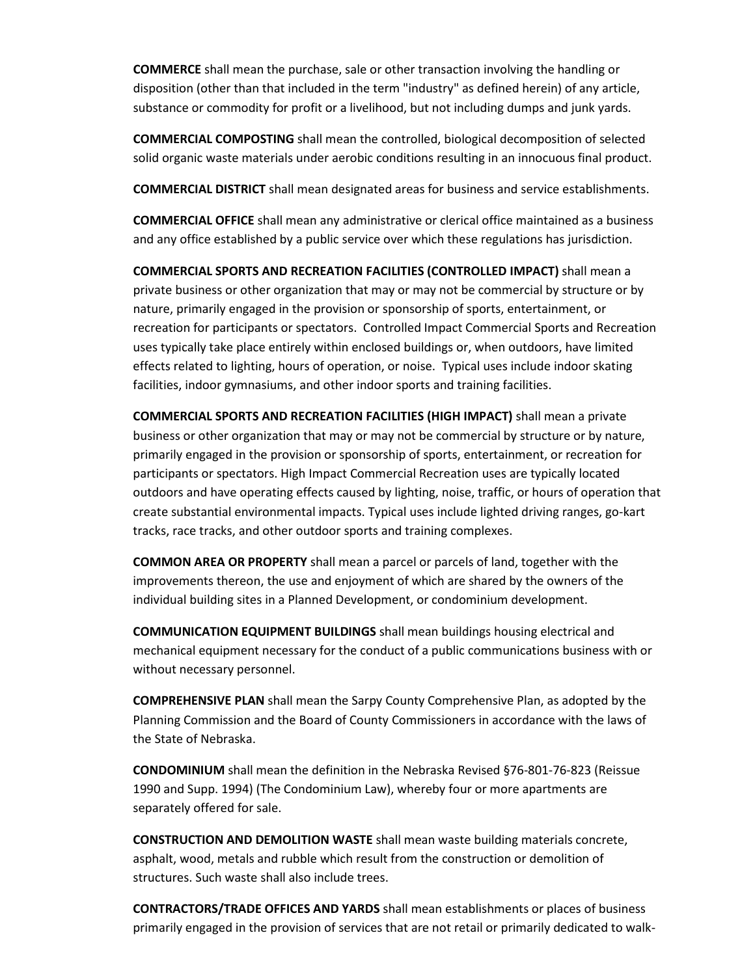**COMMERCE** shall mean the purchase, sale or other transaction involving the handling or disposition (other than that included in the term "industry" as defined herein) of any article, substance or commodity for profit or a livelihood, but not including dumps and junk yards.

**COMMERCIAL COMPOSTING** shall mean the controlled, biological decomposition of selected solid organic waste materials under aerobic conditions resulting in an innocuous final product.

**COMMERCIAL DISTRICT** shall mean designated areas for business and service establishments.

**COMMERCIAL OFFICE** shall mean any administrative or clerical office maintained as a business and any office established by a public service over which these regulations has jurisdiction.

**COMMERCIAL SPORTS AND RECREATION FACILITIES (CONTROLLED IMPACT)** shall mean a private business or other organization that may or may not be commercial by structure or by nature, primarily engaged in the provision or sponsorship of sports, entertainment, or recreation for participants or spectators. Controlled Impact Commercial Sports and Recreation uses typically take place entirely within enclosed buildings or, when outdoors, have limited effects related to lighting, hours of operation, or noise. Typical uses include indoor skating facilities, indoor gymnasiums, and other indoor sports and training facilities.

**COMMERCIAL SPORTS AND RECREATION FACILITIES (HIGH IMPACT)** shall mean a private business or other organization that may or may not be commercial by structure or by nature, primarily engaged in the provision or sponsorship of sports, entertainment, or recreation for participants or spectators. High Impact Commercial Recreation uses are typically located outdoors and have operating effects caused by lighting, noise, traffic, or hours of operation that create substantial environmental impacts. Typical uses include lighted driving ranges, go-kart tracks, race tracks, and other outdoor sports and training complexes.

**COMMON AREA OR PROPERTY** shall mean a parcel or parcels of land, together with the improvements thereon, the use and enjoyment of which are shared by the owners of the individual building sites in a Planned Development, or condominium development.

**COMMUNICATION EQUIPMENT BUILDINGS** shall mean buildings housing electrical and mechanical equipment necessary for the conduct of a public communications business with or without necessary personnel.

**COMPREHENSIVE PLAN** shall mean the Sarpy County Comprehensive Plan, as adopted by the Planning Commission and the Board of County Commissioners in accordance with the laws of the State of Nebraska.

**CONDOMINIUM** shall mean the definition in the Nebraska Revised §76-801-76-823 (Reissue 1990 and Supp. 1994) (The Condominium Law), whereby four or more apartments are separately offered for sale.

**CONSTRUCTION AND DEMOLITION WASTE** shall mean waste building materials concrete, asphalt, wood, metals and rubble which result from the construction or demolition of structures. Such waste shall also include trees.

**CONTRACTORS/TRADE OFFICES AND YARDS** shall mean establishments or places of business primarily engaged in the provision of services that are not retail or primarily dedicated to walk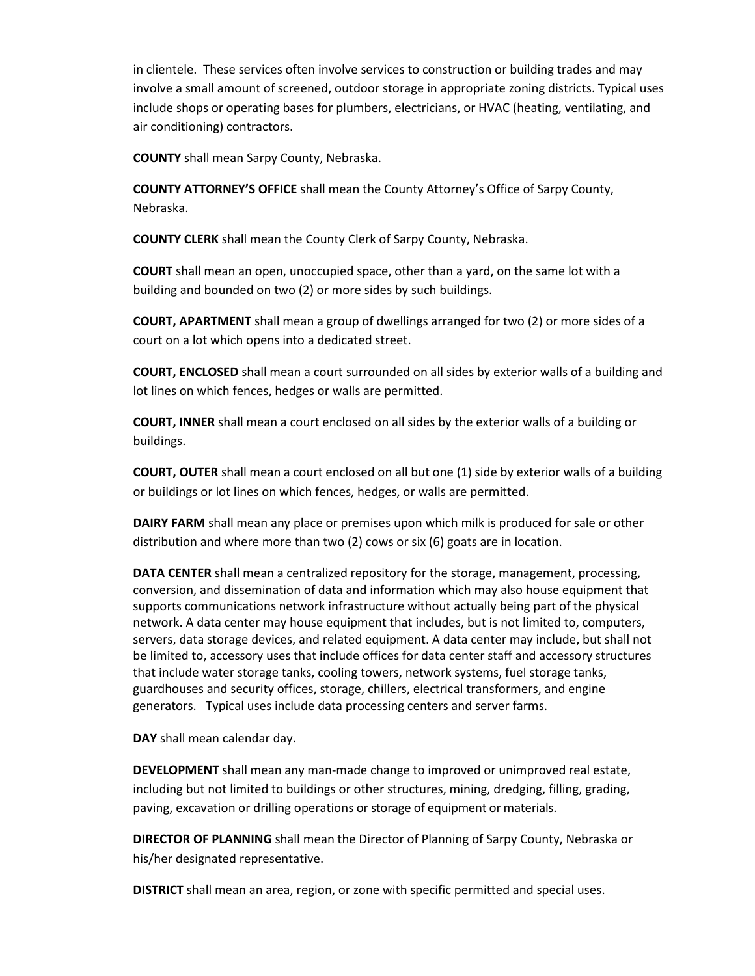in clientele. These services often involve services to construction or building trades and may involve a small amount of screened, outdoor storage in appropriate zoning districts. Typical uses include shops or operating bases for plumbers, electricians, or HVAC (heating, ventilating, and air conditioning) contractors.

**COUNTY** shall mean Sarpy County, Nebraska.

**COUNTY ATTORNEY'S OFFICE** shall mean the County Attorney's Office of Sarpy County, Nebraska.

**COUNTY CLERK** shall mean the County Clerk of Sarpy County, Nebraska.

**COURT** shall mean an open, unoccupied space, other than a yard, on the same lot with a building and bounded on two (2) or more sides by such buildings.

**COURT, APARTMENT** shall mean a group of dwellings arranged for two (2) or more sides of a court on a lot which opens into a dedicated street.

**COURT, ENCLOSED** shall mean a court surrounded on all sides by exterior walls of a building and lot lines on which fences, hedges or walls are permitted.

**COURT, INNER** shall mean a court enclosed on all sides by the exterior walls of a building or buildings.

**COURT, OUTER** shall mean a court enclosed on all but one (1) side by exterior walls of a building or buildings or lot lines on which fences, hedges, or walls are permitted.

**DAIRY FARM** shall mean any place or premises upon which milk is produced for sale or other distribution and where more than two (2) cows or six (6) goats are in location.

**DATA CENTER** shall mean a centralized repository for the storage, management, processing, conversion, and dissemination of data and information which may also house equipment that supports communications network infrastructure without actually being part of the physical network. A data center may house equipment that includes, but is not limited to, computers, servers, data storage devices, and related equipment. A data center may include, but shall not be limited to, accessory uses that include offices for data center staff and accessory structures that include water storage tanks, cooling towers, network systems, fuel storage tanks, guardhouses and security offices, storage, chillers, electrical transformers, and engine generators. Typical uses include data processing centers and server farms.

**DAY** shall mean calendar day.

**DEVELOPMENT** shall mean any man-made change to improved or unimproved real estate, including but not limited to buildings or other structures, mining, dredging, filling, grading, paving, excavation or drilling operations or storage of equipment or materials.

**DIRECTOR OF PLANNING** shall mean the Director of Planning of Sarpy County, Nebraska or his/her designated representative.

**DISTRICT** shall mean an area, region, or zone with specific permitted and special uses.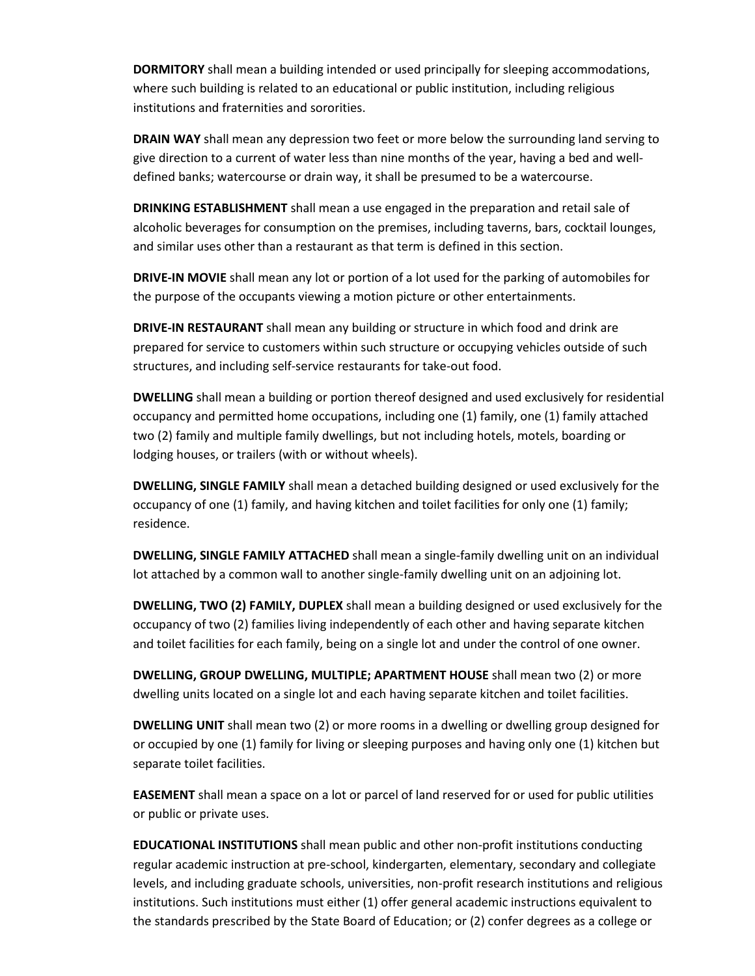**DORMITORY** shall mean a building intended or used principally for sleeping accommodations, where such building is related to an educational or public institution, including religious institutions and fraternities and sororities.

**DRAIN WAY** shall mean any depression two feet or more below the surrounding land serving to give direction to a current of water less than nine months of the year, having a bed and welldefined banks; watercourse or drain way, it shall be presumed to be a watercourse.

**DRINKING ESTABLISHMENT** shall mean a use engaged in the preparation and retail sale of alcoholic beverages for consumption on the premises, including taverns, bars, cocktail lounges, and similar uses other than a restaurant as that term is defined in this section.

**DRIVE-IN MOVIE** shall mean any lot or portion of a lot used for the parking of automobiles for the purpose of the occupants viewing a motion picture or other entertainments.

**DRIVE-IN RESTAURANT** shall mean any building or structure in which food and drink are prepared for service to customers within such structure or occupying vehicles outside of such structures, and including self-service restaurants for take-out food.

**DWELLING** shall mean a building or portion thereof designed and used exclusively for residential occupancy and permitted home occupations, including one (1) family, one (1) family attached two (2) family and multiple family dwellings, but not including hotels, motels, boarding or lodging houses, or trailers (with or without wheels).

**DWELLING, SINGLE FAMILY** shall mean a detached building designed or used exclusively for the occupancy of one (1) family, and having kitchen and toilet facilities for only one (1) family; residence.

**DWELLING, SINGLE FAMILY ATTACHED** shall mean a single-family dwelling unit on an individual lot attached by a common wall to another single-family dwelling unit on an adjoining lot.

**DWELLING, TWO (2) FAMILY, DUPLEX** shall mean a building designed or used exclusively for the occupancy of two (2) families living independently of each other and having separate kitchen and toilet facilities for each family, being on a single lot and under the control of one owner.

**DWELLING, GROUP DWELLING, MULTIPLE; APARTMENT HOUSE** shall mean two (2) or more dwelling units located on a single lot and each having separate kitchen and toilet facilities.

**DWELLING UNIT** shall mean two (2) or more rooms in a dwelling or dwelling group designed for or occupied by one (1) family for living or sleeping purposes and having only one (1) kitchen but separate toilet facilities.

**EASEMENT** shall mean a space on a lot or parcel of land reserved for or used for public utilities or public or private uses.

**EDUCATIONAL INSTITUTIONS** shall mean public and other non-profit institutions conducting regular academic instruction at pre-school, kindergarten, elementary, secondary and collegiate levels, and including graduate schools, universities, non-profit research institutions and religious institutions. Such institutions must either (1) offer general academic instructions equivalent to the standards prescribed by the State Board of Education; or (2) confer degrees as a college or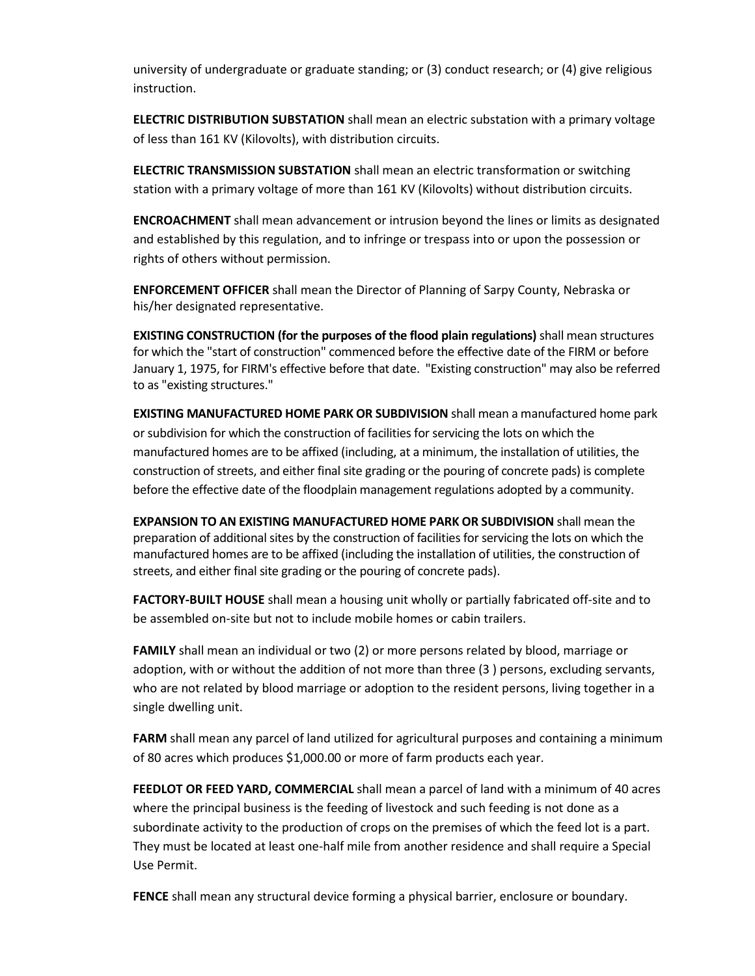university of undergraduate or graduate standing; or (3) conduct research; or (4) give religious instruction.

**ELECTRIC DISTRIBUTION SUBSTATION** shall mean an electric substation with a primary voltage of less than 161 KV (Kilovolts), with distribution circuits.

**ELECTRIC TRANSMISSION SUBSTATION** shall mean an electric transformation or switching station with a primary voltage of more than 161 KV (Kilovolts) without distribution circuits.

**ENCROACHMENT** shall mean advancement or intrusion beyond the lines or limits as designated and established by this regulation, and to infringe or trespass into or upon the possession or rights of others without permission.

**ENFORCEMENT OFFICER** shall mean the Director of Planning of Sarpy County, Nebraska or his/her designated representative.

**EXISTING CONSTRUCTION (for the purposes of the flood plain regulations)** shall mean structures for which the "start of construction" commenced before the effective date of the FIRM or before January 1, 1975, for FIRM's effective before that date. "Existing construction" may also be referred to as "existing structures."

**EXISTING MANUFACTURED HOME PARK OR SUBDIVISION** shall mean a manufactured home park or subdivision for which the construction of facilities for servicing the lots on which the manufactured homes are to be affixed (including, at a minimum, the installation of utilities, the construction of streets, and either final site grading or the pouring of concrete pads) is complete before the effective date of the floodplain management regulations adopted by a community.

**EXPANSION TO AN EXISTING MANUFACTURED HOME PARK OR SUBDIVISION** shall mean the preparation of additional sites by the construction of facilities for servicing the lots on which the manufactured homes are to be affixed (including the installation of utilities, the construction of streets, and either final site grading or the pouring of concrete pads).

**FACTORY-BUILT HOUSE** shall mean a housing unit wholly or partially fabricated off-site and to be assembled on-site but not to include mobile homes or cabin trailers.

**FAMILY** shall mean an individual or two (2) or more persons related by blood, marriage or adoption, with or without the addition of not more than three (3 ) persons, excluding servants, who are not related by blood marriage or adoption to the resident persons, living together in a single dwelling unit.

**FARM** shall mean any parcel of land utilized for agricultural purposes and containing a minimum of 80 acres which produces \$1,000.00 or more of farm products each year.

**FEEDLOT OR FEED YARD, COMMERCIAL** shall mean a parcel of land with a minimum of 40 acres where the principal business is the feeding of livestock and such feeding is not done as a subordinate activity to the production of crops on the premises of which the feed lot is a part. They must be located at least one-half mile from another residence and shall require a Special Use Permit.

**FENCE** shall mean any structural device forming a physical barrier, enclosure or boundary.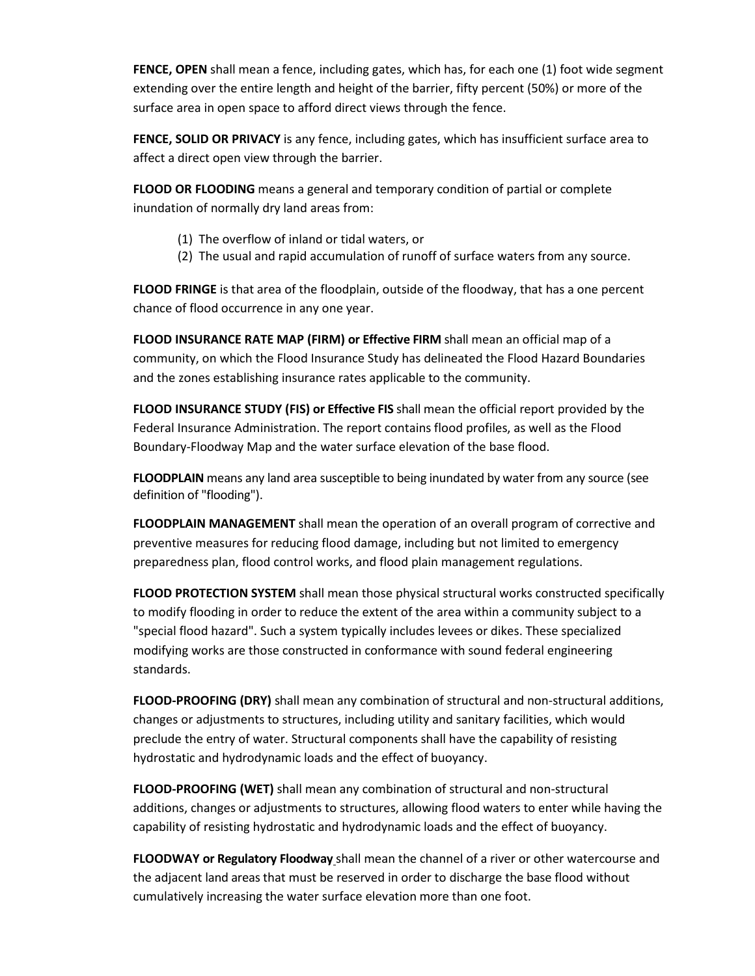**FENCE, OPEN** shall mean a fence, including gates, which has, for each one (1) foot wide segment extending over the entire length and height of the barrier, fifty percent (50%) or more of the surface area in open space to afford direct views through the fence.

**FENCE, SOLID OR PRIVACY** is any fence, including gates, which has insufficient surface area to affect a direct open view through the barrier.

**FLOOD OR FLOODING** means a general and temporary condition of partial or complete inundation of normally dry land areas from:

- (1) The overflow of inland or tidal waters, or
- (2) The usual and rapid accumulation of runoff of surface waters from any source.

**FLOOD FRINGE** is that area of the floodplain, outside of the floodway, that has a one percent chance of flood occurrence in any one year.

**FLOOD INSURANCE RATE MAP (FIRM) or Effective FIRM** shall mean an official map of a community, on which the Flood Insurance Study has delineated the Flood Hazard Boundaries and the zones establishing insurance rates applicable to the community.

**FLOOD INSURANCE STUDY (FIS) or Effective FIS** shall mean the official report provided by the Federal Insurance Administration. The report contains flood profiles, as well as the Flood Boundary-Floodway Map and the water surface elevation of the base flood.

**FLOODPLAIN** means any land area susceptible to being inundated by water from any source (see definition of "flooding").

**FLOODPLAIN MANAGEMENT** shall mean the operation of an overall program of corrective and preventive measures for reducing flood damage, including but not limited to emergency preparedness plan, flood control works, and flood plain management regulations.

**FLOOD PROTECTION SYSTEM** shall mean those physical structural works constructed specifically to modify flooding in order to reduce the extent of the area within a community subject to a "special flood hazard". Such a system typically includes levees or dikes. These specialized modifying works are those constructed in conformance with sound federal engineering standards.

**FLOOD-PROOFING (DRY)** shall mean any combination of structural and non-structural additions, changes or adjustments to structures, including utility and sanitary facilities, which would preclude the entry of water. Structural components shall have the capability of resisting hydrostatic and hydrodynamic loads and the effect of buoyancy.

**FLOOD-PROOFING (WET)** shall mean any combination of structural and non-structural additions, changes or adjustments to structures, allowing flood waters to enter while having the capability of resisting hydrostatic and hydrodynamic loads and the effect of buoyancy.

**FLOODWAY or Regulatory Floodway** shall mean the channel of a river or other watercourse and the adjacent land areas that must be reserved in order to discharge the base flood without cumulatively increasing the water surface elevation more than one foot.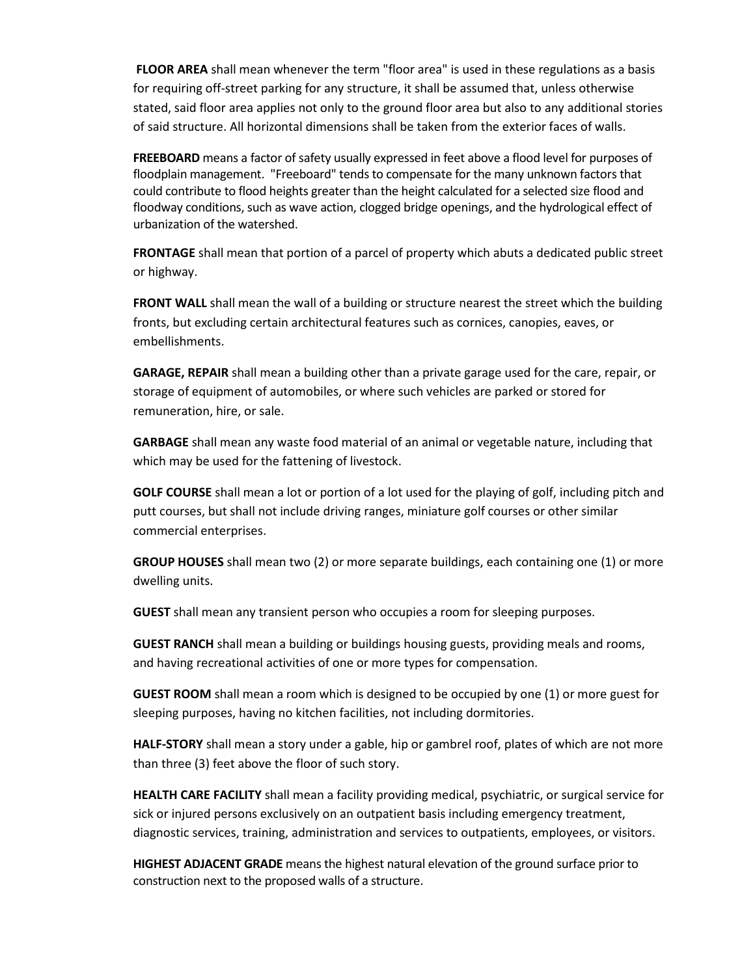**FLOOR AREA** shall mean whenever the term "floor area" is used in these regulations as a basis for requiring off-street parking for any structure, it shall be assumed that, unless otherwise stated, said floor area applies not only to the ground floor area but also to any additional stories of said structure. All horizontal dimensions shall be taken from the exterior faces of walls.

**FREEBOARD** means a factor of safety usually expressed in feet above a flood level for purposes of floodplain management. "Freeboard" tends to compensate for the many unknown factors that could contribute to flood heights greater than the height calculated for a selected size flood and floodway conditions, such as wave action, clogged bridge openings, and the hydrological effect of urbanization of the watershed.

**FRONTAGE** shall mean that portion of a parcel of property which abuts a dedicated public street or highway.

**FRONT WALL** shall mean the wall of a building or structure nearest the street which the building fronts, but excluding certain architectural features such as cornices, canopies, eaves, or embellishments.

**GARAGE, REPAIR** shall mean a building other than a private garage used for the care, repair, or storage of equipment of automobiles, or where such vehicles are parked or stored for remuneration, hire, or sale.

**GARBAGE** shall mean any waste food material of an animal or vegetable nature, including that which may be used for the fattening of livestock.

**GOLF COURSE** shall mean a lot or portion of a lot used for the playing of golf, including pitch and putt courses, but shall not include driving ranges, miniature golf courses or other similar commercial enterprises.

**GROUP HOUSES** shall mean two (2) or more separate buildings, each containing one (1) or more dwelling units.

**GUEST** shall mean any transient person who occupies a room for sleeping purposes.

**GUEST RANCH** shall mean a building or buildings housing guests, providing meals and rooms, and having recreational activities of one or more types for compensation.

**GUEST ROOM** shall mean a room which is designed to be occupied by one (1) or more guest for sleeping purposes, having no kitchen facilities, not including dormitories.

**HALF-STORY** shall mean a story under a gable, hip or gambrel roof, plates of which are not more than three (3) feet above the floor of such story.

**HEALTH CARE FACILITY** shall mean a facility providing medical, psychiatric, or surgical service for sick or injured persons exclusively on an outpatient basis including emergency treatment, diagnostic services, training, administration and services to outpatients, employees, or visitors.

**HIGHEST ADJACENT GRADE** means the highest natural elevation of the ground surface prior to construction next to the proposed walls of a structure.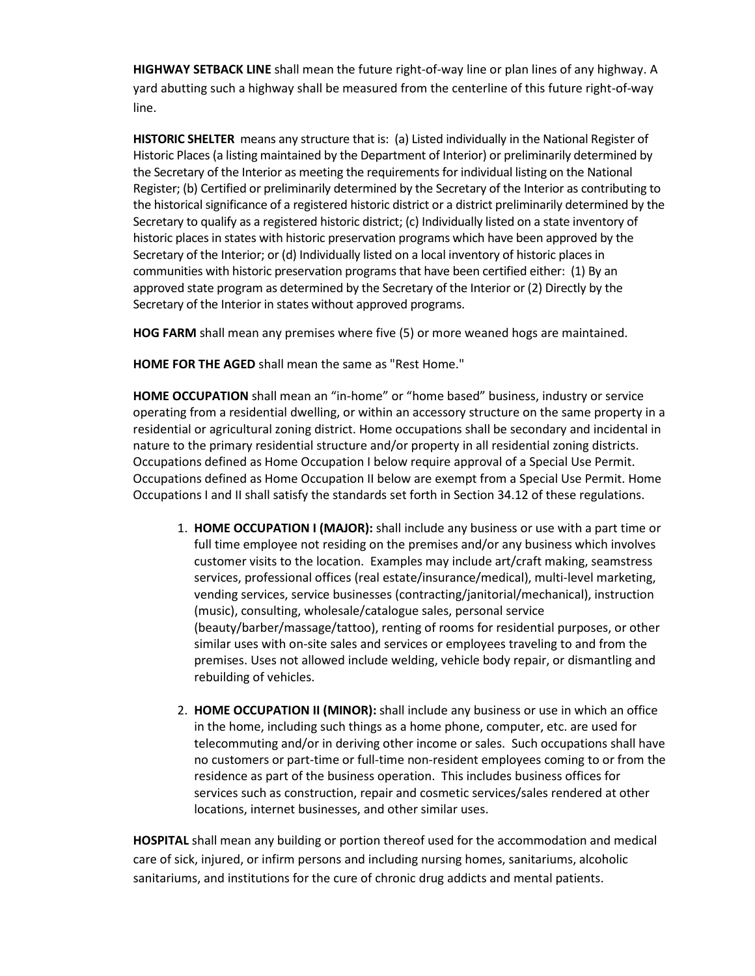**HIGHWAY SETBACK LINE** shall mean the future right-of-way line or plan lines of any highway. A yard abutting such a highway shall be measured from the centerline of this future right-of-way line.

**HISTORIC SHELTER** means any structure that is: (a) Listed individually in the National Register of Historic Places (a listing maintained by the Department of Interior) or preliminarily determined by the Secretary of the Interior as meeting the requirements for individual listing on the National Register; (b) Certified or preliminarily determined by the Secretary of the Interior as contributing to the historical significance of a registered historic district or a district preliminarily determined by the Secretary to qualify as a registered historic district; (c) Individually listed on a state inventory of historic places in states with historic preservation programs which have been approved by the Secretary of the Interior; or (d) Individually listed on a local inventory of historic places in communities with historic preservation programs that have been certified either: (1) By an approved state program as determined by the Secretary of the Interior or (2) Directly by the Secretary of the Interior in states without approved programs.

**HOG FARM** shall mean any premises where five (5) or more weaned hogs are maintained.

**HOME FOR THE AGED** shall mean the same as "Rest Home."

**HOME OCCUPATION** shall mean an "in-home" or "home based" business, industry or service operating from a residential dwelling, or within an accessory structure on the same property in a residential or agricultural zoning district. Home occupations shall be secondary and incidental in nature to the primary residential structure and/or property in all residential zoning districts. Occupations defined as Home Occupation I below require approval of a Special Use Permit. Occupations defined as Home Occupation II below are exempt from a Special Use Permit. Home Occupations I and II shall satisfy the standards set forth in Section 34.12 of these regulations.

- 1. **HOME OCCUPATION I (MAJOR):** shall include any business or use with a part time or full time employee not residing on the premises and/or any business which involves customer visits to the location. Examples may include art/craft making, seamstress services, professional offices (real estate/insurance/medical), multi-level marketing, vending services, service businesses (contracting/janitorial/mechanical), instruction (music), consulting, wholesale/catalogue sales, personal service (beauty/barber/massage/tattoo), renting of rooms for residential purposes, or other similar uses with on-site sales and services or employees traveling to and from the premises. Uses not allowed include welding, vehicle body repair, or dismantling and rebuilding of vehicles.
- 2. **HOME OCCUPATION II (MINOR):** shall include any business or use in which an office in the home, including such things as a home phone, computer, etc. are used for telecommuting and/or in deriving other income or sales. Such occupations shall have no customers or part-time or full-time non-resident employees coming to or from the residence as part of the business operation. This includes business offices for services such as construction, repair and cosmetic services/sales rendered at other locations, internet businesses, and other similar uses.

**HOSPITAL** shall mean any building or portion thereof used for the accommodation and medical care of sick, injured, or infirm persons and including nursing homes, sanitariums, alcoholic sanitariums, and institutions for the cure of chronic drug addicts and mental patients.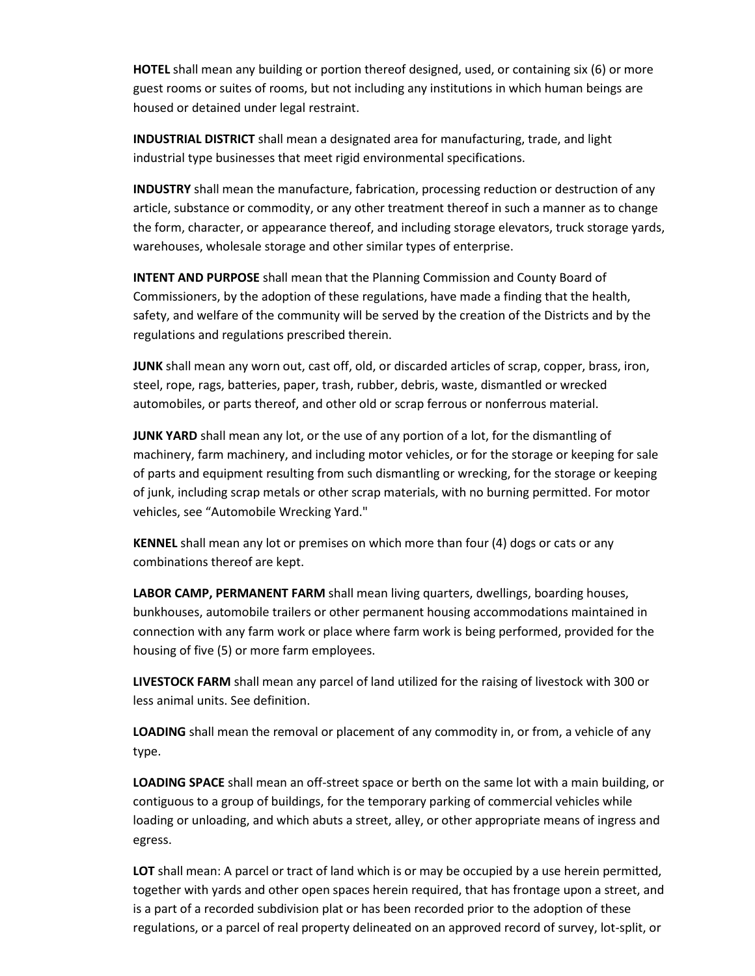**HOTEL** shall mean any building or portion thereof designed, used, or containing six (6) or more guest rooms or suites of rooms, but not including any institutions in which human beings are housed or detained under legal restraint.

**INDUSTRIAL DISTRICT** shall mean a designated area for manufacturing, trade, and light industrial type businesses that meet rigid environmental specifications.

**INDUSTRY** shall mean the manufacture, fabrication, processing reduction or destruction of any article, substance or commodity, or any other treatment thereof in such a manner as to change the form, character, or appearance thereof, and including storage elevators, truck storage yards, warehouses, wholesale storage and other similar types of enterprise.

**INTENT AND PURPOSE** shall mean that the Planning Commission and County Board of Commissioners, by the adoption of these regulations, have made a finding that the health, safety, and welfare of the community will be served by the creation of the Districts and by the regulations and regulations prescribed therein.

**JUNK** shall mean any worn out, cast off, old, or discarded articles of scrap, copper, brass, iron, steel, rope, rags, batteries, paper, trash, rubber, debris, waste, dismantled or wrecked automobiles, or parts thereof, and other old or scrap ferrous or nonferrous material.

**JUNK YARD** shall mean any lot, or the use of any portion of a lot, for the dismantling of machinery, farm machinery, and including motor vehicles, or for the storage or keeping for sale of parts and equipment resulting from such dismantling or wrecking, for the storage or keeping of junk, including scrap metals or other scrap materials, with no burning permitted. For motor vehicles, see "Automobile Wrecking Yard."

**KENNEL** shall mean any lot or premises on which more than four (4) dogs or cats or any combinations thereof are kept.

**LABOR CAMP, PERMANENT FARM** shall mean living quarters, dwellings, boarding houses, bunkhouses, automobile trailers or other permanent housing accommodations maintained in connection with any farm work or place where farm work is being performed, provided for the housing of five (5) or more farm employees.

**LIVESTOCK FARM** shall mean any parcel of land utilized for the raising of livestock with 300 or less animal units. See definition.

**LOADING** shall mean the removal or placement of any commodity in, or from, a vehicle of any type.

**LOADING SPACE** shall mean an off-street space or berth on the same lot with a main building, or contiguous to a group of buildings, for the temporary parking of commercial vehicles while loading or unloading, and which abuts a street, alley, or other appropriate means of ingress and egress.

**LOT** shall mean: A parcel or tract of land which is or may be occupied by a use herein permitted, together with yards and other open spaces herein required, that has frontage upon a street, and is a part of a recorded subdivision plat or has been recorded prior to the adoption of these regulations, or a parcel of real property delineated on an approved record of survey, lot-split, or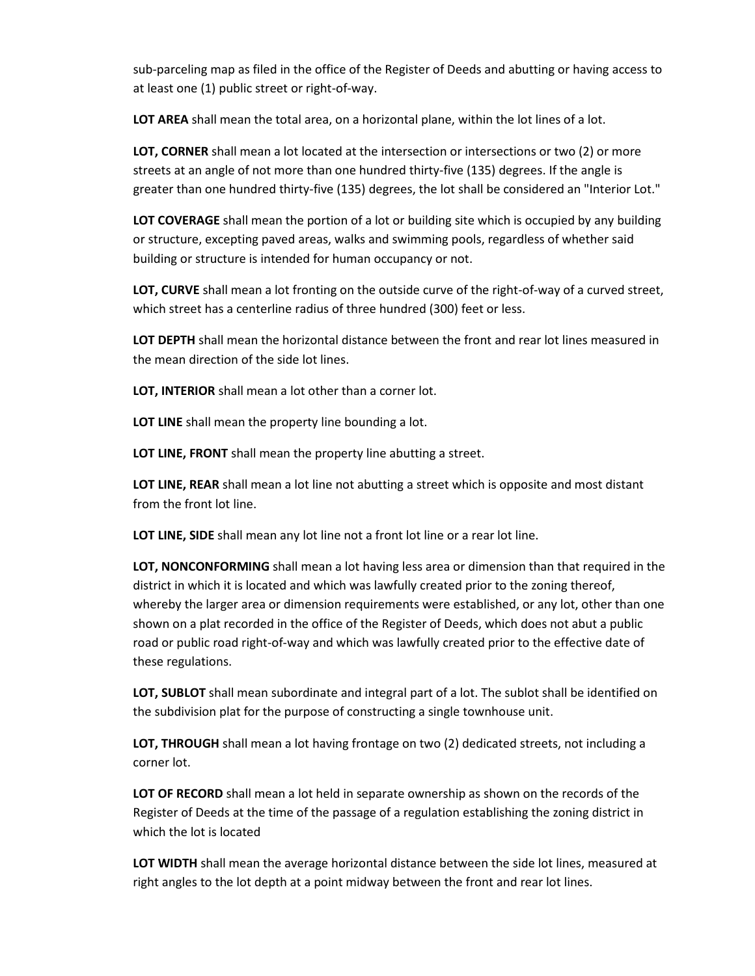sub-parceling map as filed in the office of the Register of Deeds and abutting or having access to at least one (1) public street or right-of-way.

**LOT AREA** shall mean the total area, on a horizontal plane, within the lot lines of a lot.

**LOT, CORNER** shall mean a lot located at the intersection or intersections or two (2) or more streets at an angle of not more than one hundred thirty-five (135) degrees. If the angle is greater than one hundred thirty-five (135) degrees, the lot shall be considered an "Interior Lot."

**LOT COVERAGE** shall mean the portion of a lot or building site which is occupied by any building or structure, excepting paved areas, walks and swimming pools, regardless of whether said building or structure is intended for human occupancy or not.

**LOT, CURVE** shall mean a lot fronting on the outside curve of the right-of-way of a curved street, which street has a centerline radius of three hundred (300) feet or less.

**LOT DEPTH** shall mean the horizontal distance between the front and rear lot lines measured in the mean direction of the side lot lines.

**LOT, INTERIOR** shall mean a lot other than a corner lot.

**LOT LINE** shall mean the property line bounding a lot.

**LOT LINE, FRONT** shall mean the property line abutting a street.

**LOT LINE, REAR** shall mean a lot line not abutting a street which is opposite and most distant from the front lot line.

LOT LINE, SIDE shall mean any lot line not a front lot line or a rear lot line.

**LOT, NONCONFORMING** shall mean a lot having less area or dimension than that required in the district in which it is located and which was lawfully created prior to the zoning thereof, whereby the larger area or dimension requirements were established, or any lot, other than one shown on a plat recorded in the office of the Register of Deeds, which does not abut a public road or public road right-of-way and which was lawfully created prior to the effective date of these regulations.

**LOT, SUBLOT** shall mean subordinate and integral part of a lot. The sublot shall be identified on the subdivision plat for the purpose of constructing a single townhouse unit.

**LOT, THROUGH** shall mean a lot having frontage on two (2) dedicated streets, not including a corner lot.

**LOT OF RECORD** shall mean a lot held in separate ownership as shown on the records of the Register of Deeds at the time of the passage of a regulation establishing the zoning district in which the lot is located

**LOT WIDTH** shall mean the average horizontal distance between the side lot lines, measured at right angles to the lot depth at a point midway between the front and rear lot lines.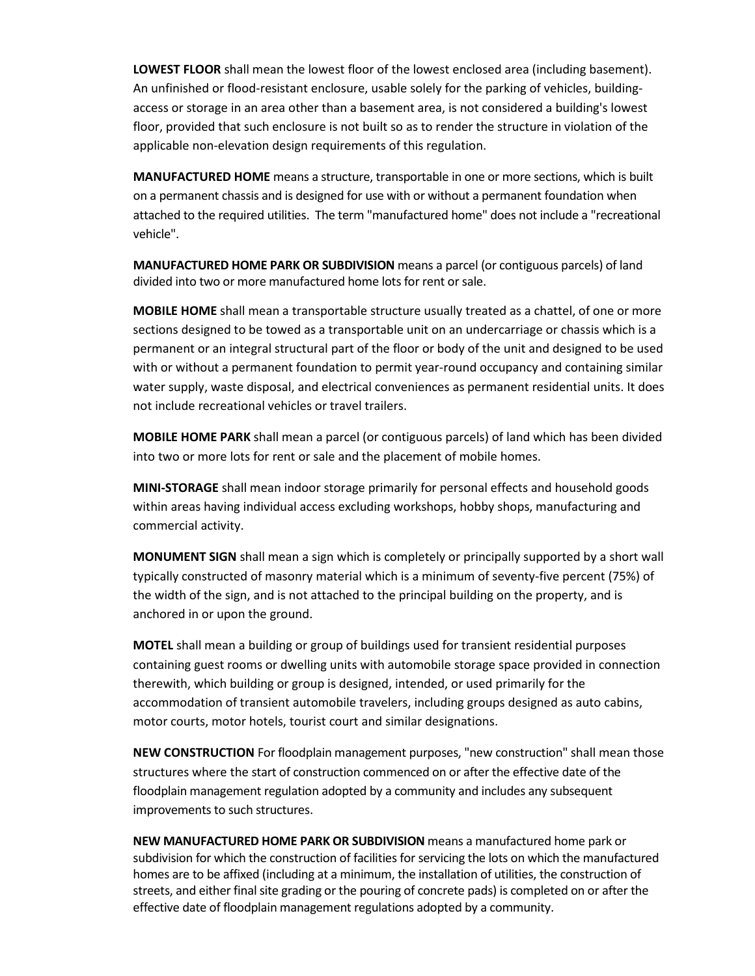**LOWEST FLOOR** shall mean the lowest floor of the lowest enclosed area (including basement). An unfinished or flood-resistant enclosure, usable solely for the parking of vehicles, buildingaccess or storage in an area other than a basement area, is not considered a building's lowest floor, provided that such enclosure is not built so as to render the structure in violation of the applicable non-elevation design requirements of this regulation.

**MANUFACTURED HOME** means a structure, transportable in one or more sections, which is built on a permanent chassis and is designed for use with or without a permanent foundation when attached to the required utilities. The term "manufactured home" does not include a "recreational vehicle".

**MANUFACTURED HOME PARK OR SUBDIVISION** means a parcel (or contiguous parcels) of land divided into two or more manufactured home lots for rent or sale.

**MOBILE HOME** shall mean a transportable structure usually treated as a chattel, of one or more sections designed to be towed as a transportable unit on an undercarriage or chassis which is a permanent or an integral structural part of the floor or body of the unit and designed to be used with or without a permanent foundation to permit year-round occupancy and containing similar water supply, waste disposal, and electrical conveniences as permanent residential units. It does not include recreational vehicles or travel trailers.

**MOBILE HOME PARK** shall mean a parcel (or contiguous parcels) of land which has been divided into two or more lots for rent or sale and the placement of mobile homes.

**MINI-STORAGE** shall mean indoor storage primarily for personal effects and household goods within areas having individual access excluding workshops, hobby shops, manufacturing and commercial activity.

**MONUMENT SIGN** shall mean a sign which is completely or principally supported by a short wall typically constructed of masonry material which is a minimum of seventy-five percent (75%) of the width of the sign, and is not attached to the principal building on the property, and is anchored in or upon the ground.

**MOTEL** shall mean a building or group of buildings used for transient residential purposes containing guest rooms or dwelling units with automobile storage space provided in connection therewith, which building or group is designed, intended, or used primarily for the accommodation of transient automobile travelers, including groups designed as auto cabins, motor courts, motor hotels, tourist court and similar designations.

**NEW CONSTRUCTION** For floodplain management purposes, "new construction" shall mean those structures where the start of construction commenced on or after the effective date of the floodplain management regulation adopted by a community and includes any subsequent improvements to such structures.

**NEW MANUFACTURED HOME PARK OR SUBDIVISION** means a manufactured home park or subdivision for which the construction of facilities for servicing the lots on which the manufactured homes are to be affixed (including at a minimum, the installation of utilities, the construction of streets, and either final site grading or the pouring of concrete pads) is completed on or after the effective date of floodplain management regulations adopted by a community.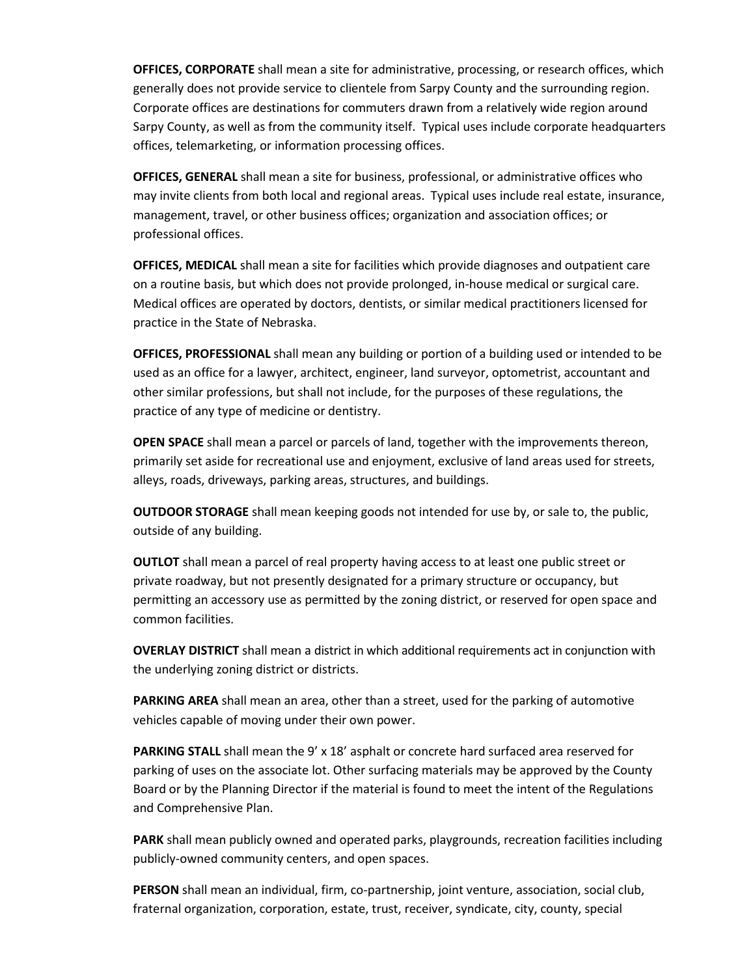**OFFICES, CORPORATE** shall mean a site for administrative, processing, or research offices, which generally does not provide service to clientele from Sarpy County and the surrounding region. Corporate offices are destinations for commuters drawn from a relatively wide region around Sarpy County, as well as from the community itself. Typical uses include corporate headquarters offices, telemarketing, or information processing offices.

**OFFICES, GENERAL** shall mean a site for business, professional, or administrative offices who may invite clients from both local and regional areas. Typical uses include real estate, insurance, management, travel, or other business offices; organization and association offices; or professional offices.

**OFFICES, MEDICAL** shall mean a site for facilities which provide diagnoses and outpatient care on a routine basis, but which does not provide prolonged, in-house medical or surgical care. Medical offices are operated by doctors, dentists, or similar medical practitioners licensed for practice in the State of Nebraska.

**OFFICES, PROFESSIONAL** shall mean any building or portion of a building used or intended to be used as an office for a lawyer, architect, engineer, land surveyor, optometrist, accountant and other similar professions, but shall not include, for the purposes of these regulations, the practice of any type of medicine or dentistry.

**OPEN SPACE** shall mean a parcel or parcels of land, together with the improvements thereon, primarily set aside for recreational use and enjoyment, exclusive of land areas used for streets, alleys, roads, driveways, parking areas, structures, and buildings.

**OUTDOOR STORAGE** shall mean keeping goods not intended for use by, or sale to, the public, outside of any building.

**OUTLOT** shall mean a parcel of real property having access to at least one public street or private roadway, but not presently designated for a primary structure or occupancy, but permitting an accessory use as permitted by the zoning district, or reserved for open space and common facilities.

**OVERLAY DISTRICT** shall mean a district in which additional requirements act in conjunction with the underlying zoning district or districts.

**PARKING AREA** shall mean an area, other than a street, used for the parking of automotive vehicles capable of moving under their own power.

PARKING STALL shall mean the 9' x 18' asphalt or concrete hard surfaced area reserved for parking of uses on the associate lot. Other surfacing materials may be approved by the County Board or by the Planning Director if the material is found to meet the intent of the Regulations and Comprehensive Plan.

**PARK** shall mean publicly owned and operated parks, playgrounds, recreation facilities including publicly-owned community centers, and open spaces.

**PERSON** shall mean an individual, firm, co-partnership, joint venture, association, social club, fraternal organization, corporation, estate, trust, receiver, syndicate, city, county, special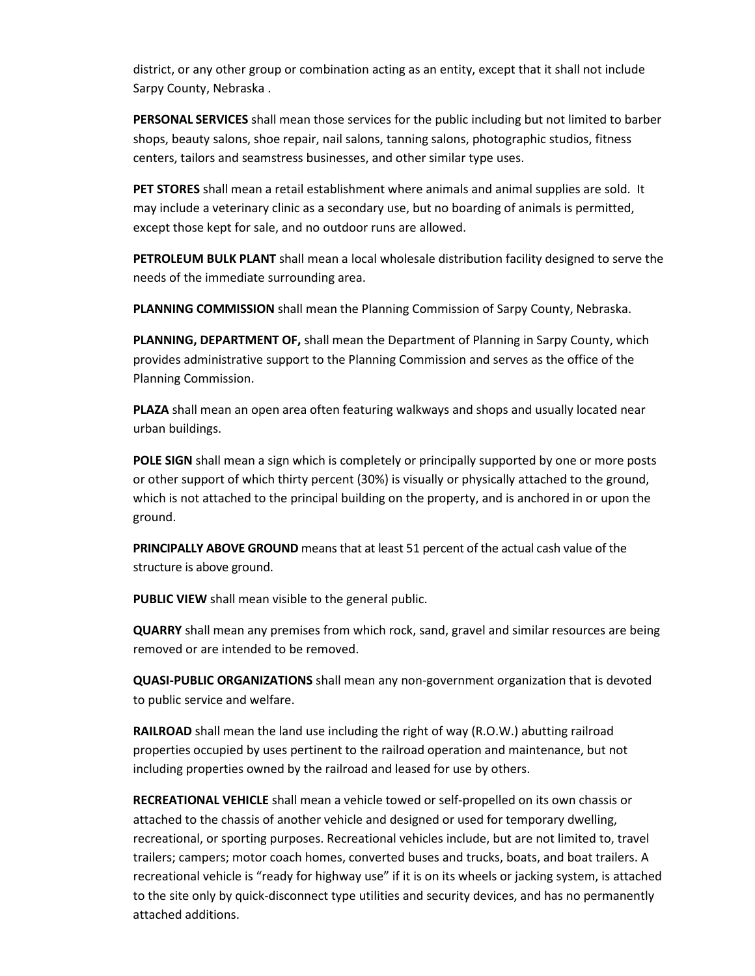district, or any other group or combination acting as an entity, except that it shall not include Sarpy County, Nebraska .

**PERSONAL SERVICES** shall mean those services for the public including but not limited to barber shops, beauty salons, shoe repair, nail salons, tanning salons, photographic studios, fitness centers, tailors and seamstress businesses, and other similar type uses.

**PET STORES** shall mean a retail establishment where animals and animal supplies are sold. It may include a veterinary clinic as a secondary use, but no boarding of animals is permitted, except those kept for sale, and no outdoor runs are allowed.

**PETROLEUM BULK PLANT** shall mean a local wholesale distribution facility designed to serve the needs of the immediate surrounding area.

**PLANNING COMMISSION** shall mean the Planning Commission of Sarpy County, Nebraska.

**PLANNING, DEPARTMENT OF,** shall mean the Department of Planning in Sarpy County, which provides administrative support to the Planning Commission and serves as the office of the Planning Commission.

**PLAZA** shall mean an open area often featuring walkways and shops and usually located near urban buildings.

**POLE SIGN** shall mean a sign which is completely or principally supported by one or more posts or other support of which thirty percent (30%) is visually or physically attached to the ground, which is not attached to the principal building on the property, and is anchored in or upon the ground.

**PRINCIPALLY ABOVE GROUND** means that at least 51 percent of the actual cash value of the structure is above ground.

**PUBLIC VIEW** shall mean visible to the general public.

**QUARRY** shall mean any premises from which rock, sand, gravel and similar resources are being removed or are intended to be removed.

**QUASI-PUBLIC ORGANIZATIONS** shall mean any non-government organization that is devoted to public service and welfare.

**RAILROAD** shall mean the land use including the right of way (R.O.W.) abutting railroad properties occupied by uses pertinent to the railroad operation and maintenance, but not including properties owned by the railroad and leased for use by others.

**RECREATIONAL VEHICLE** shall mean a vehicle towed or self-propelled on its own chassis or attached to the chassis of another vehicle and designed or used for temporary dwelling, recreational, or sporting purposes. Recreational vehicles include, but are not limited to, travel trailers; campers; motor coach homes, converted buses and trucks, boats, and boat trailers. A recreational vehicle is "ready for highway use" if it is on its wheels or jacking system, is attached to the site only by quick-disconnect type utilities and security devices, and has no permanently attached additions.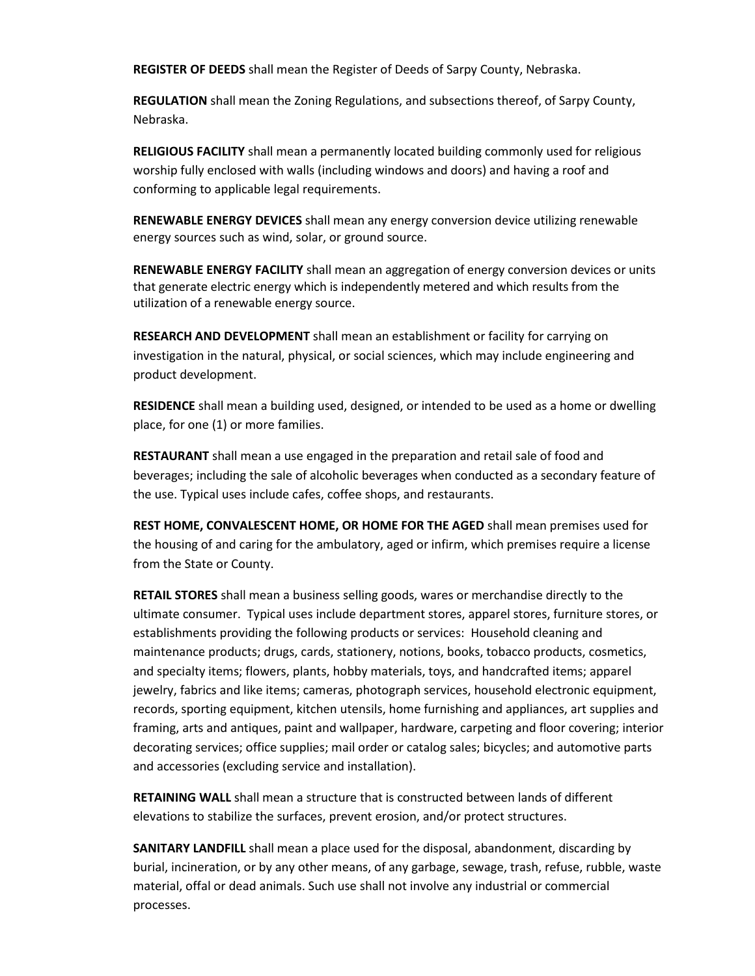**REGISTER OF DEEDS** shall mean the Register of Deeds of Sarpy County, Nebraska.

**REGULATION** shall mean the Zoning Regulations, and subsections thereof, of Sarpy County, Nebraska.

**RELIGIOUS FACILITY** shall mean a permanently located building commonly used for religious worship fully enclosed with walls (including windows and doors) and having a roof and conforming to applicable legal requirements.

**RENEWABLE ENERGY DEVICES** shall mean any energy conversion device utilizing renewable energy sources such as wind, solar, or ground source.

**RENEWABLE ENERGY FACILITY** shall mean an aggregation of energy conversion devices or units that generate electric energy which is independently metered and which results from the utilization of a renewable energy source.

**RESEARCH AND DEVELOPMENT** shall mean an establishment or facility for carrying on investigation in the natural, physical, or social sciences, which may include engineering and product development.

**RESIDENCE** shall mean a building used, designed, or intended to be used as a home or dwelling place, for one (1) or more families.

**RESTAURANT** shall mean a use engaged in the preparation and retail sale of food and beverages; including the sale of alcoholic beverages when conducted as a secondary feature of the use. Typical uses include cafes, coffee shops, and restaurants.

**REST HOME, CONVALESCENT HOME, OR HOME FOR THE AGED** shall mean premises used for the housing of and caring for the ambulatory, aged or infirm, which premises require a license from the State or County.

**RETAIL STORES** shall mean a business selling goods, wares or merchandise directly to the ultimate consumer. Typical uses include department stores, apparel stores, furniture stores, or establishments providing the following products or services: Household cleaning and maintenance products; drugs, cards, stationery, notions, books, tobacco products, cosmetics, and specialty items; flowers, plants, hobby materials, toys, and handcrafted items; apparel jewelry, fabrics and like items; cameras, photograph services, household electronic equipment, records, sporting equipment, kitchen utensils, home furnishing and appliances, art supplies and framing, arts and antiques, paint and wallpaper, hardware, carpeting and floor covering; interior decorating services; office supplies; mail order or catalog sales; bicycles; and automotive parts and accessories (excluding service and installation).

**RETAINING WALL** shall mean a structure that is constructed between lands of different elevations to stabilize the surfaces, prevent erosion, and/or protect structures.

**SANITARY LANDFILL** shall mean a place used for the disposal, abandonment, discarding by burial, incineration, or by any other means, of any garbage, sewage, trash, refuse, rubble, waste material, offal or dead animals. Such use shall not involve any industrial or commercial processes.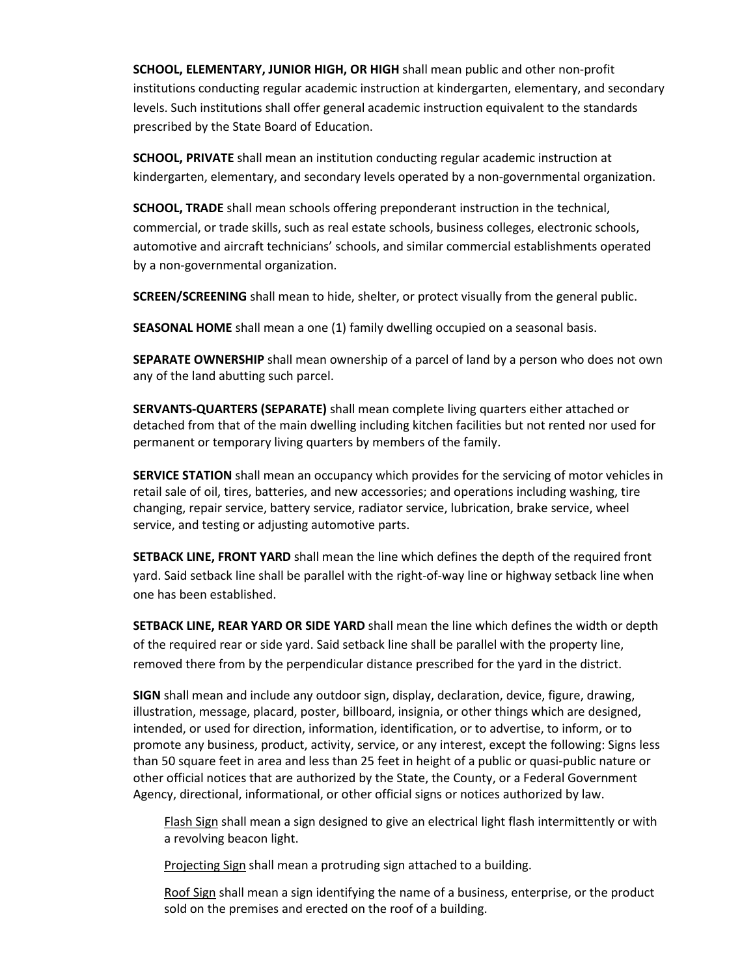**SCHOOL, ELEMENTARY, JUNIOR HIGH, OR HIGH** shall mean public and other non-profit institutions conducting regular academic instruction at kindergarten, elementary, and secondary levels. Such institutions shall offer general academic instruction equivalent to the standards prescribed by the State Board of Education.

**SCHOOL, PRIVATE** shall mean an institution conducting regular academic instruction at kindergarten, elementary, and secondary levels operated by a non-governmental organization.

**SCHOOL, TRADE** shall mean schools offering preponderant instruction in the technical, commercial, or trade skills, such as real estate schools, business colleges, electronic schools, automotive and aircraft technicians' schools, and similar commercial establishments operated by a non-governmental organization.

**SCREEN/SCREENING** shall mean to hide, shelter, or protect visually from the general public.

**SEASONAL HOME** shall mean a one (1) family dwelling occupied on a seasonal basis.

**SEPARATE OWNERSHIP** shall mean ownership of a parcel of land by a person who does not own any of the land abutting such parcel.

**SERVANTS-QUARTERS (SEPARATE)** shall mean complete living quarters either attached or detached from that of the main dwelling including kitchen facilities but not rented nor used for permanent or temporary living quarters by members of the family.

**SERVICE STATION** shall mean an occupancy which provides for the servicing of motor vehicles in retail sale of oil, tires, batteries, and new accessories; and operations including washing, tire changing, repair service, battery service, radiator service, lubrication, brake service, wheel service, and testing or adjusting automotive parts.

**SETBACK LINE, FRONT YARD** shall mean the line which defines the depth of the required front yard. Said setback line shall be parallel with the right-of-way line or highway setback line when one has been established.

**SETBACK LINE, REAR YARD OR SIDE YARD** shall mean the line which defines the width or depth of the required rear or side yard. Said setback line shall be parallel with the property line, removed there from by the perpendicular distance prescribed for the yard in the district.

**SIGN** shall mean and include any outdoor sign, display, declaration, device, figure, drawing, illustration, message, placard, poster, billboard, insignia, or other things which are designed, intended, or used for direction, information, identification, or to advertise, to inform, or to promote any business, product, activity, service, or any interest, except the following: Signs less than 50 square feet in area and less than 25 feet in height of a public or quasi-public nature or other official notices that are authorized by the State, the County, or a Federal Government Agency, directional, informational, or other official signs or notices authorized by law.

Flash Sign shall mean a sign designed to give an electrical light flash intermittently or with a revolving beacon light.

Projecting Sign shall mean a protruding sign attached to a building.

Roof Sign shall mean a sign identifying the name of a business, enterprise, or the product sold on the premises and erected on the roof of a building.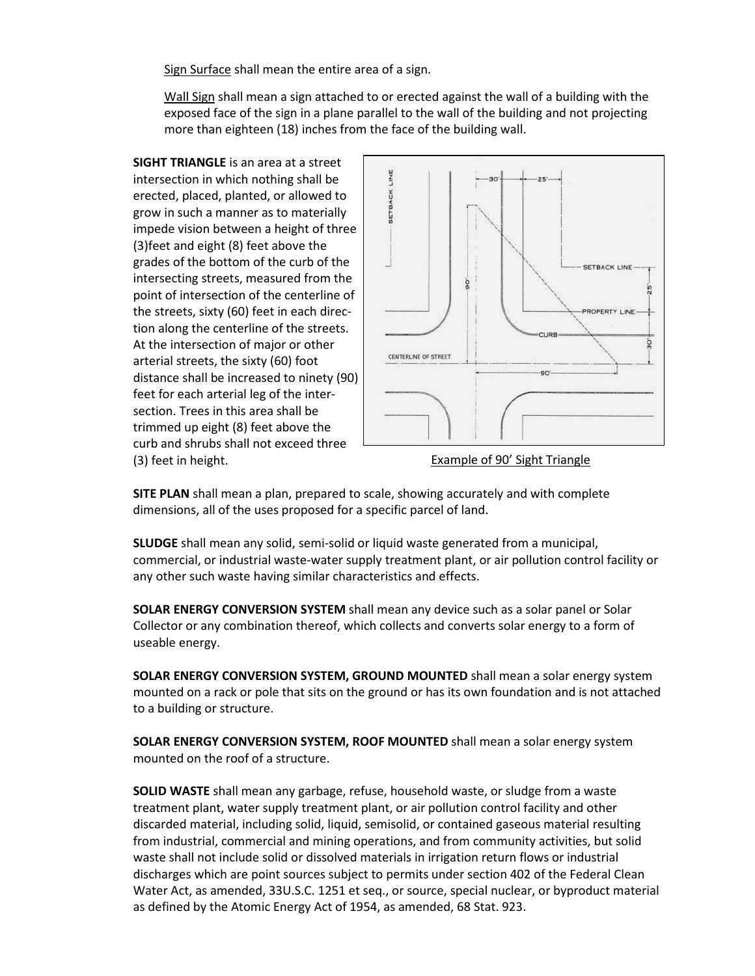Sign Surface shall mean the entire area of a sign.

Wall Sign shall mean a sign attached to or erected against the wall of a building with the exposed face of the sign in a plane parallel to the wall of the building and not projecting more than eighteen (18) inches from the face of the building wall.

**SIGHT TRIANGLE** is an area at a street intersection in which nothing shall be erected, placed, planted, or allowed to grow in such a manner as to materially impede vision between a height of three (3)feet and eight (8) feet above the grades of the bottom of the curb of the intersecting streets, measured from the point of intersection of the centerline of the streets, sixty (60) feet in each direction along the centerline of the streets. At the intersection of major or other arterial streets, the sixty (60) foot distance shall be increased to ninety (90) feet for each arterial leg of the intersection. Trees in this area shall be trimmed up eight (8) feet above the curb and shrubs shall not exceed three (3) feet in height.



Example of 90' Sight Triangle

**SITE PLAN** shall mean a plan, prepared to scale, showing accurately and with complete dimensions, all of the uses proposed for a specific parcel of land.

**SLUDGE** shall mean any solid, semi-solid or liquid waste generated from a municipal, commercial, or industrial waste-water supply treatment plant, or air pollution control facility or any other such waste having similar characteristics and effects.

**SOLAR ENERGY CONVERSION SYSTEM** shall mean any device such as a solar panel or Solar Collector or any combination thereof, which collects and converts solar energy to a form of useable energy.

**SOLAR ENERGY CONVERSION SYSTEM, GROUND MOUNTED** shall mean a solar energy system mounted on a rack or pole that sits on the ground or has its own foundation and is not attached to a building or structure.

**SOLAR ENERGY CONVERSION SYSTEM, ROOF MOUNTED** shall mean a solar energy system mounted on the roof of a structure.

**SOLID WASTE** shall mean any garbage, refuse, household waste, or sludge from a waste treatment plant, water supply treatment plant, or air pollution control facility and other discarded material, including solid, liquid, semisolid, or contained gaseous material resulting from industrial, commercial and mining operations, and from community activities, but solid waste shall not include solid or dissolved materials in irrigation return flows or industrial discharges which are point sources subject to permits under section 402 of the Federal Clean Water Act, as amended, 33U.S.C. 1251 et seq., or source, special nuclear, or byproduct material as defined by the Atomic Energy Act of 1954, as amended, 68 Stat. 923.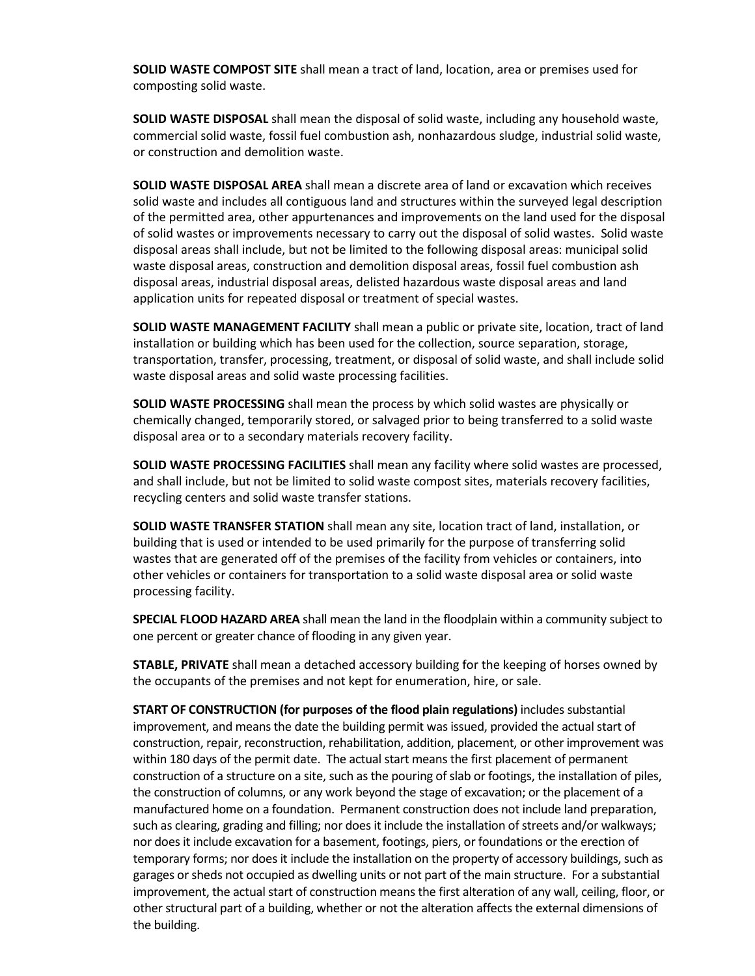**SOLID WASTE COMPOST SITE** shall mean a tract of land, location, area or premises used for composting solid waste.

**SOLID WASTE DISPOSAL** shall mean the disposal of solid waste, including any household waste, commercial solid waste, fossil fuel combustion ash, nonhazardous sludge, industrial solid waste, or construction and demolition waste.

**SOLID WASTE DISPOSAL AREA** shall mean a discrete area of land or excavation which receives solid waste and includes all contiguous land and structures within the surveyed legal description of the permitted area, other appurtenances and improvements on the land used for the disposal of solid wastes or improvements necessary to carry out the disposal of solid wastes. Solid waste disposal areas shall include, but not be limited to the following disposal areas: municipal solid waste disposal areas, construction and demolition disposal areas, fossil fuel combustion ash disposal areas, industrial disposal areas, delisted hazardous waste disposal areas and land application units for repeated disposal or treatment of special wastes.

**SOLID WASTE MANAGEMENT FACILITY** shall mean a public or private site, location, tract of land installation or building which has been used for the collection, source separation, storage, transportation, transfer, processing, treatment, or disposal of solid waste, and shall include solid waste disposal areas and solid waste processing facilities.

**SOLID WASTE PROCESSING** shall mean the process by which solid wastes are physically or chemically changed, temporarily stored, or salvaged prior to being transferred to a solid waste disposal area or to a secondary materials recovery facility.

**SOLID WASTE PROCESSING FACILITIES** shall mean any facility where solid wastes are processed, and shall include, but not be limited to solid waste compost sites, materials recovery facilities, recycling centers and solid waste transfer stations.

**SOLID WASTE TRANSFER STATION** shall mean any site, location tract of land, installation, or building that is used or intended to be used primarily for the purpose of transferring solid wastes that are generated off of the premises of the facility from vehicles or containers, into other vehicles or containers for transportation to a solid waste disposal area or solid waste processing facility.

**SPECIAL FLOOD HAZARD AREA** shall mean the land in the floodplain within a community subject to one percent or greater chance of flooding in any given year.

**STABLE, PRIVATE** shall mean a detached accessory building for the keeping of horses owned by the occupants of the premises and not kept for enumeration, hire, or sale.

**START OF CONSTRUCTION (for purposes of the flood plain regulations)** includes substantial improvement, and means the date the building permit was issued, provided the actual start of construction, repair, reconstruction, rehabilitation, addition, placement, or other improvement was within 180 days of the permit date. The actual start means the first placement of permanent construction of a structure on a site, such as the pouring of slab or footings, the installation of piles, the construction of columns, or any work beyond the stage of excavation; or the placement of a manufactured home on a foundation. Permanent construction does not include land preparation, such as clearing, grading and filling; nor does it include the installation of streets and/or walkways; nor does it include excavation for a basement, footings, piers, or foundations or the erection of temporary forms; nor does it include the installation on the property of accessory buildings, such as garages or sheds not occupied as dwelling units or not part of the main structure. For a substantial improvement, the actual start of construction means the first alteration of any wall, ceiling, floor, or other structural part of a building, whether or not the alteration affects the external dimensions of the building.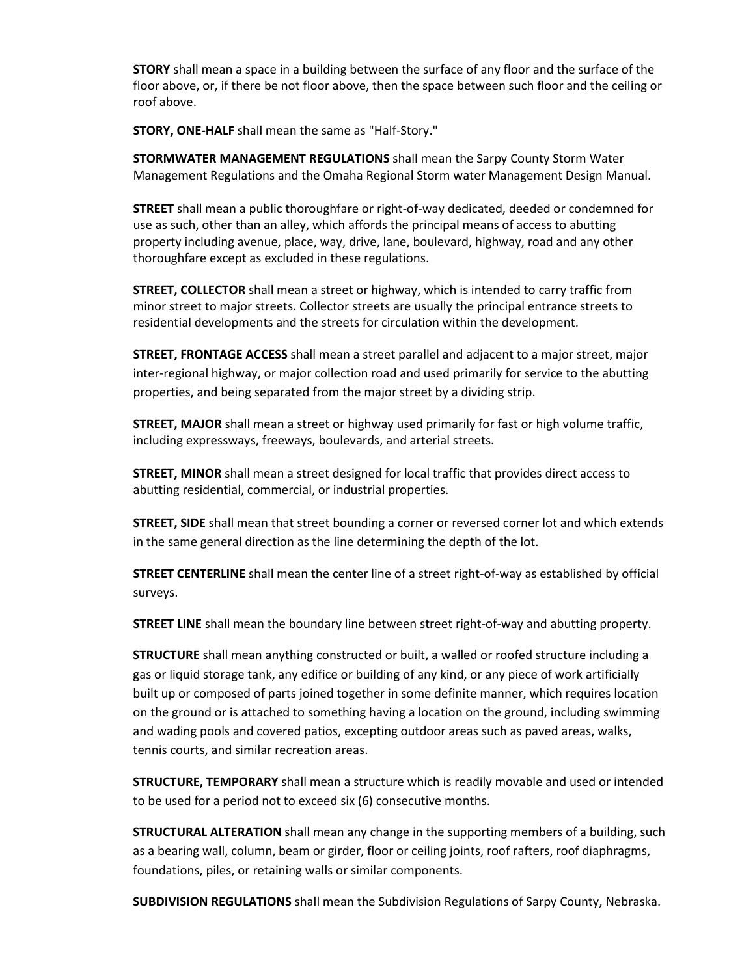**STORY** shall mean a space in a building between the surface of any floor and the surface of the floor above, or, if there be not floor above, then the space between such floor and the ceiling or roof above.

**STORY, ONE-HALF** shall mean the same as "Half-Story."

**STORMWATER MANAGEMENT REGULATIONS** shall mean the Sarpy County Storm Water Management Regulations and the Omaha Regional Storm water Management Design Manual.

**STREET** shall mean a public thoroughfare or right-of-way dedicated, deeded or condemned for use as such, other than an alley, which affords the principal means of access to abutting property including avenue, place, way, drive, lane, boulevard, highway, road and any other thoroughfare except as excluded in these regulations.

**STREET, COLLECTOR** shall mean a street or highway, which is intended to carry traffic from minor street to major streets. Collector streets are usually the principal entrance streets to residential developments and the streets for circulation within the development.

**STREET, FRONTAGE ACCESS** shall mean a street parallel and adjacent to a major street, major inter-regional highway, or major collection road and used primarily for service to the abutting properties, and being separated from the major street by a dividing strip.

**STREET, MAJOR** shall mean a street or highway used primarily for fast or high volume traffic, including expressways, freeways, boulevards, and arterial streets.

**STREET, MINOR** shall mean a street designed for local traffic that provides direct access to abutting residential, commercial, or industrial properties.

**STREET, SIDE** shall mean that street bounding a corner or reversed corner lot and which extends in the same general direction as the line determining the depth of the lot.

**STREET CENTERLINE** shall mean the center line of a street right-of-way as established by official surveys.

**STREET LINE** shall mean the boundary line between street right-of-way and abutting property.

**STRUCTURE** shall mean anything constructed or built, a walled or roofed structure including a gas or liquid storage tank, any edifice or building of any kind, or any piece of work artificially built up or composed of parts joined together in some definite manner, which requires location on the ground or is attached to something having a location on the ground, including swimming and wading pools and covered patios, excepting outdoor areas such as paved areas, walks, tennis courts, and similar recreation areas.

**STRUCTURE, TEMPORARY** shall mean a structure which is readily movable and used or intended to be used for a period not to exceed six (6) consecutive months.

**STRUCTURAL ALTERATION** shall mean any change in the supporting members of a building, such as a bearing wall, column, beam or girder, floor or ceiling joints, roof rafters, roof diaphragms, foundations, piles, or retaining walls or similar components.

**SUBDIVISION REGULATIONS** shall mean the Subdivision Regulations of Sarpy County, Nebraska.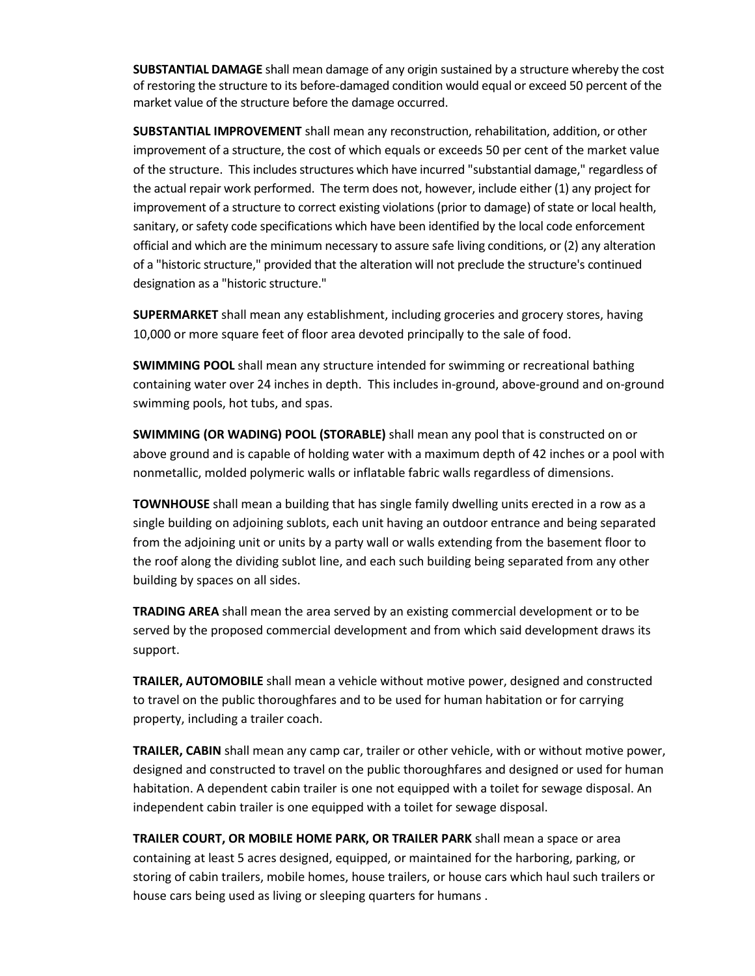**SUBSTANTIAL DAMAGE** shall mean damage of any origin sustained by a structure whereby the cost of restoring the structure to its before-damaged condition would equal or exceed 50 percent of the market value of the structure before the damage occurred.

**SUBSTANTIAL IMPROVEMENT** shall mean any reconstruction, rehabilitation, addition, or other improvement of a structure, the cost of which equals or exceeds 50 per cent of the market value of the structure. This includes structures which have incurred "substantial damage," regardless of the actual repair work performed. The term does not, however, include either (1) any project for improvement of a structure to correct existing violations (prior to damage) of state or local health, sanitary, or safety code specifications which have been identified by the local code enforcement official and which are the minimum necessary to assure safe living conditions, or (2) any alteration of a "historic structure," provided that the alteration will not preclude the structure's continued designation as a "historic structure."

**SUPERMARKET** shall mean any establishment, including groceries and grocery stores, having 10,000 or more square feet of floor area devoted principally to the sale of food.

**SWIMMING POOL** shall mean any structure intended for swimming or recreational bathing containing water over 24 inches in depth. This includes in-ground, above-ground and on-ground swimming pools, hot tubs, and spas.

**SWIMMING (OR WADING) POOL (STORABLE)** shall mean any pool that is constructed on or above ground and is capable of holding water with a maximum depth of 42 inches or a pool with nonmetallic, molded polymeric walls or inflatable fabric walls regardless of dimensions.

**TOWNHOUSE** shall mean a building that has single family dwelling units erected in a row as a single building on adjoining sublots, each unit having an outdoor entrance and being separated from the adjoining unit or units by a party wall or walls extending from the basement floor to the roof along the dividing sublot line, and each such building being separated from any other building by spaces on all sides.

**TRADING AREA** shall mean the area served by an existing commercial development or to be served by the proposed commercial development and from which said development draws its support.

**TRAILER, AUTOMOBILE** shall mean a vehicle without motive power, designed and constructed to travel on the public thoroughfares and to be used for human habitation or for carrying property, including a trailer coach.

**TRAILER, CABIN** shall mean any camp car, trailer or other vehicle, with or without motive power, designed and constructed to travel on the public thoroughfares and designed or used for human habitation. A dependent cabin trailer is one not equipped with a toilet for sewage disposal. An independent cabin trailer is one equipped with a toilet for sewage disposal.

**TRAILER COURT, OR MOBILE HOME PARK, OR TRAILER PARK** shall mean a space or area containing at least 5 acres designed, equipped, or maintained for the harboring, parking, or storing of cabin trailers, mobile homes, house trailers, or house cars which haul such trailers or house cars being used as living or sleeping quarters for humans .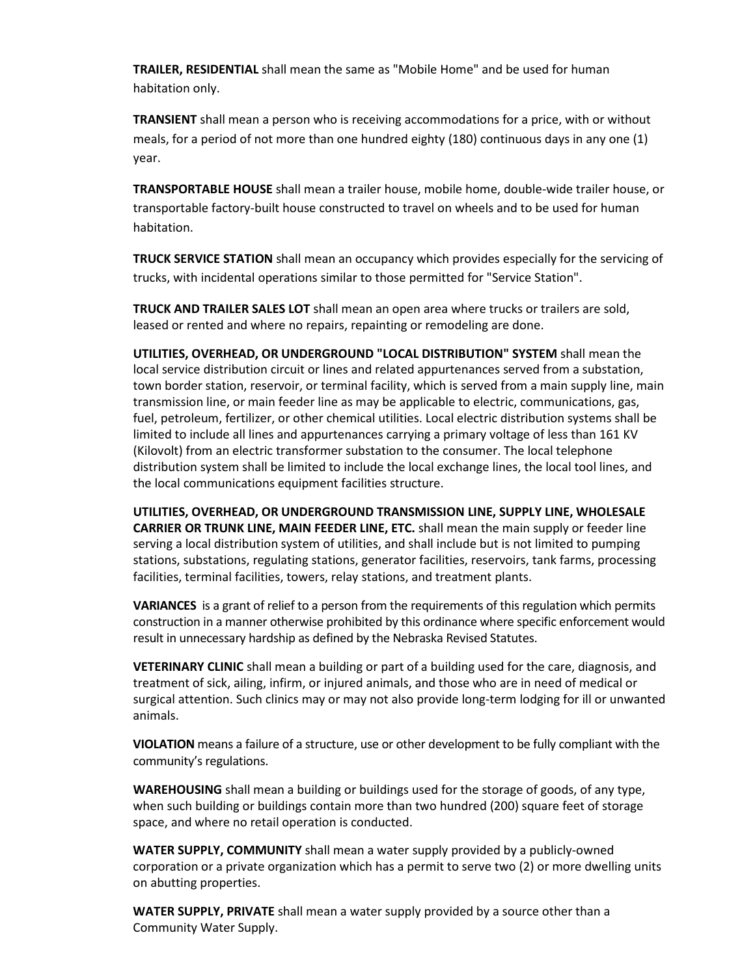**TRAILER, RESIDENTIAL** shall mean the same as "Mobile Home" and be used for human habitation only.

**TRANSIENT** shall mean a person who is receiving accommodations for a price, with or without meals, for a period of not more than one hundred eighty (180) continuous days in any one (1) year.

**TRANSPORTABLE HOUSE** shall mean a trailer house, mobile home, double-wide trailer house, or transportable factory-built house constructed to travel on wheels and to be used for human habitation.

**TRUCK SERVICE STATION** shall mean an occupancy which provides especially for the servicing of trucks, with incidental operations similar to those permitted for "Service Station".

**TRUCK AND TRAILER SALES LOT** shall mean an open area where trucks or trailers are sold, leased or rented and where no repairs, repainting or remodeling are done.

**UTILITIES, OVERHEAD, OR UNDERGROUND "LOCAL DISTRIBUTION" SYSTEM** shall mean the local service distribution circuit or lines and related appurtenances served from a substation, town border station, reservoir, or terminal facility, which is served from a main supply line, main transmission line, or main feeder line as may be applicable to electric, communications, gas, fuel, petroleum, fertilizer, or other chemical utilities. Local electric distribution systems shall be limited to include all lines and appurtenances carrying a primary voltage of less than 161 KV (Kilovolt) from an electric transformer substation to the consumer. The local telephone distribution system shall be limited to include the local exchange lines, the local tool lines, and the local communications equipment facilities structure.

**UTILITIES, OVERHEAD, OR UNDERGROUND TRANSMISSION LINE, SUPPLY LINE, WHOLESALE CARRIER OR TRUNK LINE, MAIN FEEDER LINE, ETC.** shall mean the main supply or feeder line serving a local distribution system of utilities, and shall include but is not limited to pumping stations, substations, regulating stations, generator facilities, reservoirs, tank farms, processing facilities, terminal facilities, towers, relay stations, and treatment plants.

**VARIANCES** is a grant of relief to a person from the requirements of this regulation which permits construction in a manner otherwise prohibited by this ordinance where specific enforcement would result in unnecessary hardship as defined by the Nebraska Revised Statutes.

**VETERINARY CLINIC** shall mean a building or part of a building used for the care, diagnosis, and treatment of sick, ailing, infirm, or injured animals, and those who are in need of medical or surgical attention. Such clinics may or may not also provide long-term lodging for ill or unwanted animals.

**VIOLATION** means a failure of a structure, use or other development to be fully compliant with the community's regulations.

**WAREHOUSING** shall mean a building or buildings used for the storage of goods, of any type, when such building or buildings contain more than two hundred (200) square feet of storage space, and where no retail operation is conducted.

**WATER SUPPLY, COMMUNITY** shall mean a water supply provided by a publicly-owned corporation or a private organization which has a permit to serve two (2) or more dwelling units on abutting properties.

**WATER SUPPLY, PRIVATE** shall mean a water supply provided by a source other than a Community Water Supply.